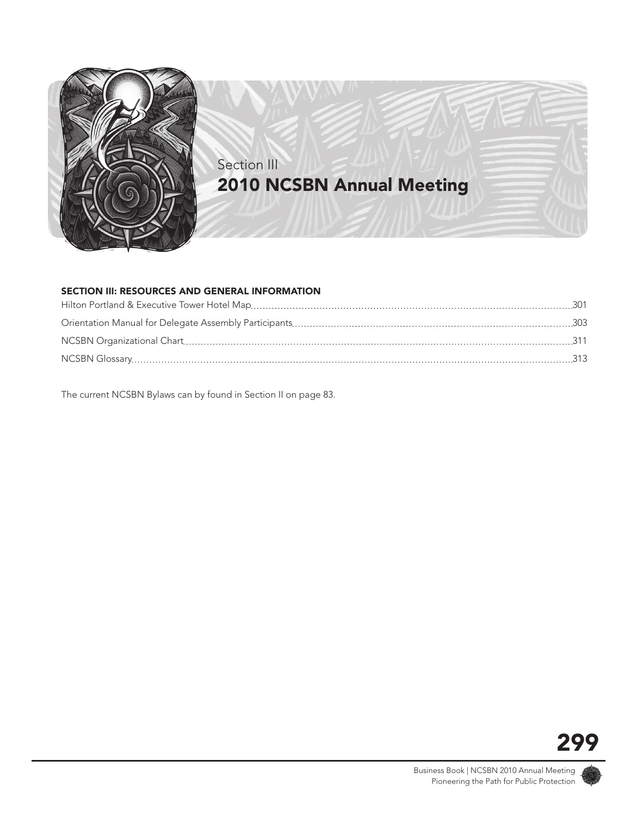

## Section III 2010 NCSBN Annual Meeting

### SECTION III: RESOURCES AND GENERAL INFORMATION

The current NCSBN Bylaws can by found in Section II on page 83.

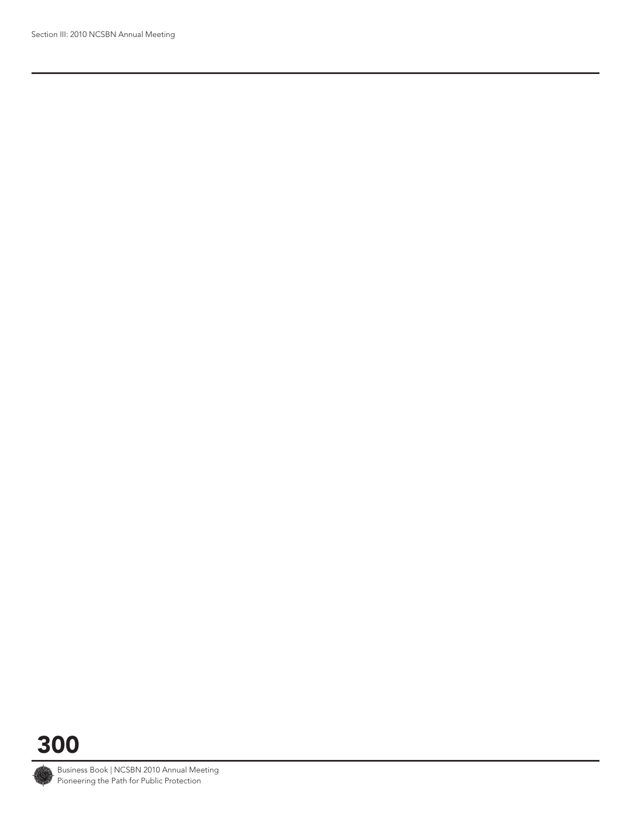Section III: 2010 NCSBN Annual Meeting

# 300

Business Book | NCSBN 2010 Annual Meeting Pioneering the Path for Public Protection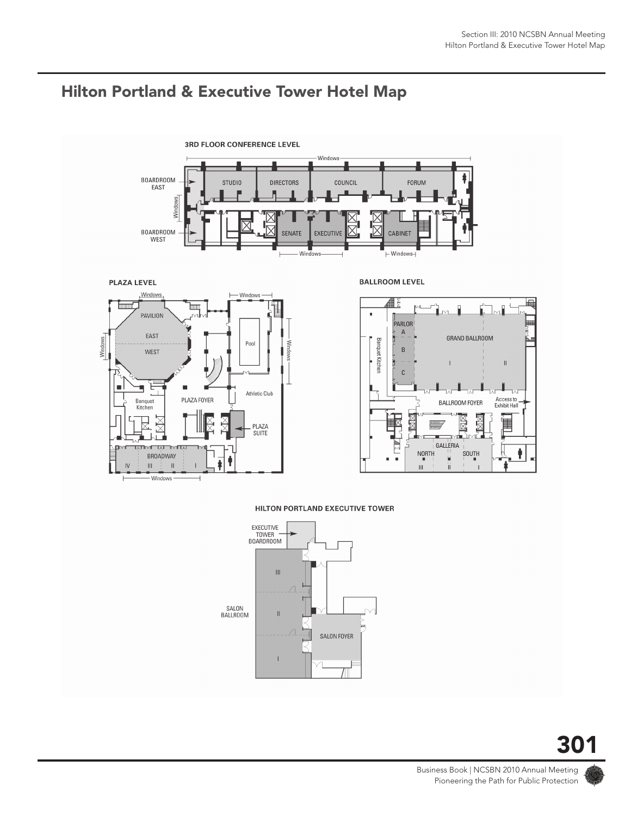

### <span id="page-2-0"></span>Hilton Portland & Executive Tower Hotel Map

#### HILTON PORTLAND EXECUTIVE TOWER

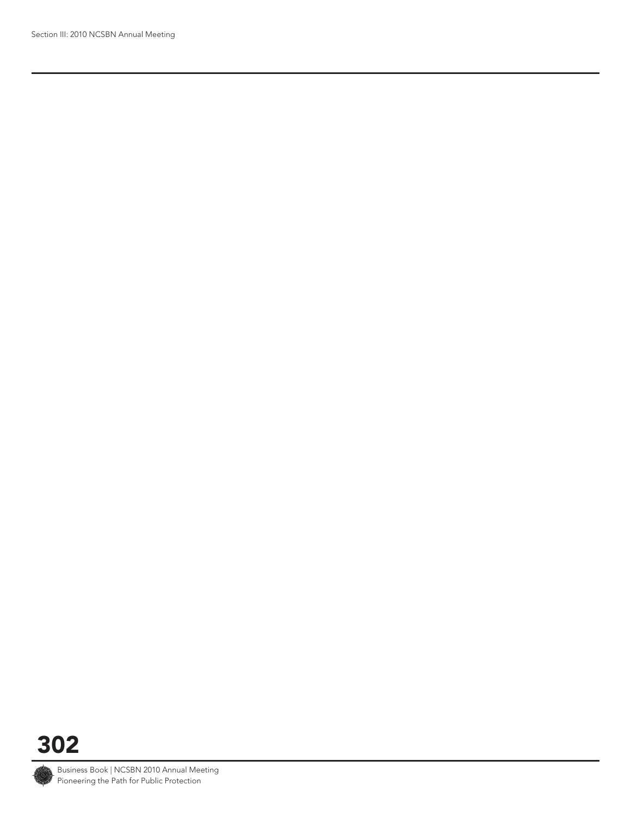Section III: 2010 NCSBN Annual Meeting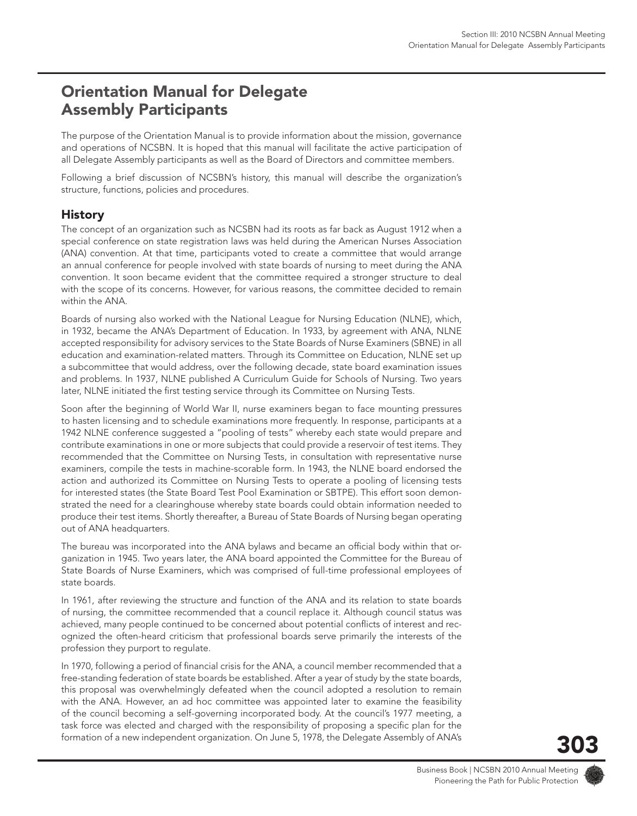### <span id="page-4-0"></span>Orientation Manual for Delegate Assembly Participants

The purpose of the Orientation Manual is to provide information about the mission, governance and operations of NCSBN. It is hoped that this manual will facilitate the active participation of all Delegate Assembly participants as well as the Board of Directors and committee members.

Following a brief discussion of NCSBN's history, this manual will describe the organization's structure, functions, policies and procedures.

### History

The concept of an organization such as NCSBN had its roots as far back as August 1912 when a special conference on state registration laws was held during the American Nurses Association (ANA) convention. At that time, participants voted to create a committee that would arrange an annual conference for people involved with state boards of nursing to meet during the ANA convention. It soon became evident that the committee required a stronger structure to deal with the scope of its concerns. However, for various reasons, the committee decided to remain within the ANA.

Boards of nursing also worked with the National League for Nursing Education (NLNE), which, in 1932, became the ANA's Department of Education. In 1933, by agreement with ANA, NLNE accepted responsibility for advisory services to the State Boards of Nurse Examiners (SBNE) in all education and examination-related matters. Through its Committee on Education, NLNE set up a subcommittee that would address, over the following decade, state board examination issues and problems. In 1937, NLNE published A Curriculum Guide for Schools of Nursing. Two years later, NLNE initiated the first testing service through its Committee on Nursing Tests.

Soon after the beginning of World War II, nurse examiners began to face mounting pressures to hasten licensing and to schedule examinations more frequently. In response, participants at a 1942 NLNE conference suggested a "pooling of tests" whereby each state would prepare and contribute examinations in one or more subjects that could provide a reservoir of test items. They recommended that the Committee on Nursing Tests, in consultation with representative nurse examiners, compile the tests in machine-scorable form. In 1943, the NLNE board endorsed the action and authorized its Committee on Nursing Tests to operate a pooling of licensing tests for interested states (the State Board Test Pool Examination or SBTPE). This effort soon demonstrated the need for a clearinghouse whereby state boards could obtain information needed to produce their test items. Shortly thereafter, a Bureau of State Boards of Nursing began operating out of ANA headquarters.

The bureau was incorporated into the ANA bylaws and became an official body within that organization in 1945. Two years later, the ANA board appointed the Committee for the Bureau of State Boards of Nurse Examiners, which was comprised of full-time professional employees of state boards.

In 1961, after reviewing the structure and function of the ANA and its relation to state boards of nursing, the committee recommended that a council replace it. Although council status was achieved, many people continued to be concerned about potential conflicts of interest and recognized the often-heard criticism that professional boards serve primarily the interests of the profession they purport to regulate.

In 1970, following a period of financial crisis for the ANA, a council member recommended that a free-standing federation of state boards be established. After a year of study by the state boards, this proposal was overwhelmingly defeated when the council adopted a resolution to remain with the ANA. However, an ad hoc committee was appointed later to examine the feasibility of the council becoming a self-governing incorporated body. At the council's 1977 meeting, a task force was elected and charged with the responsibility of proposing a specific plan for the formation of a new independent organization. On June 5, 1978, the Delegate Assembly of ANA's

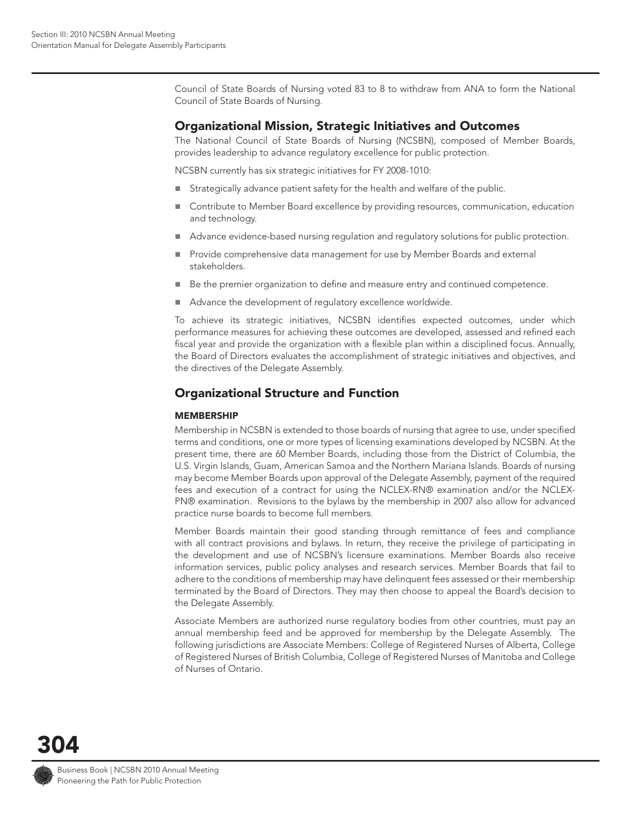Council of State Boards of Nursing voted 83 to 8 to withdraw from ANA to form the National Council of State Boards of Nursing.

### Organizational Mission, Strategic Initiatives and Outcomes

The National Council of State Boards of Nursing (NCSBN), composed of Member Boards, provides leadership to advance regulatory excellence for public protection.

NCSBN currently has six strategic initiatives for FY 2008-1010:

- Strategically advance patient safety for the health and welfare of the public.
- Contribute to Member Board excellence by providing resources, communication, education and technology.
- Advance evidence-based nursing regulation and regulatory solutions for public protection.
- Provide comprehensive data management for use by Member Boards and external stakeholders.
- Be the premier organization to define and measure entry and continued competence.
- Advance the development of regulatory excellence worldwide.

To achieve its strategic initiatives, NCSBN identifies expected outcomes, under which performance measures for achieving these outcomes are developed, assessed and refined each fiscal year and provide the organization with a flexible plan within a disciplined focus. Annually, the Board of Directors evaluates the accomplishment of strategic initiatives and objectives, and the directives of the Delegate Assembly.

### Organizational Structure and Function

### MEMBERSHIP

Membership in NCSBN is extended to those boards of nursing that agree to use, under specified terms and conditions, one or more types of licensing examinations developed by NCSBN. At the present time, there are 60 Member Boards, including those from the District of Columbia, the U.S. Virgin Islands, Guam, American Samoa and the Northern Mariana Islands. Boards of nursing may become Member Boards upon approval of the Delegate Assembly, payment of the required fees and execution of a contract for using the NCLEX-RN® examination and/or the NCLEX-PN® examination. Revisions to the bylaws by the membership in 2007 also allow for advanced practice nurse boards to become full members.

Member Boards maintain their good standing through remittance of fees and compliance with all contract provisions and bylaws. In return, they receive the privilege of participating in the development and use of NCSBN's licensure examinations. Member Boards also receive information services, public policy analyses and research services. Member Boards that fail to adhere to the conditions of membership may have delinquent fees assessed or their membership terminated by the Board of Directors. They may then choose to appeal the Board's decision to the Delegate Assembly.

Associate Members are authorized nurse regulatory bodies from other countries, must pay an annual membership feed and be approved for membership by the Delegate Assembly. The following jurisdictions are Associate Members: College of Registered Nurses of Alberta, College of Registered Nurses of British Columbia, College of Registered Nurses of Manitoba and College of Nurses of Ontario.

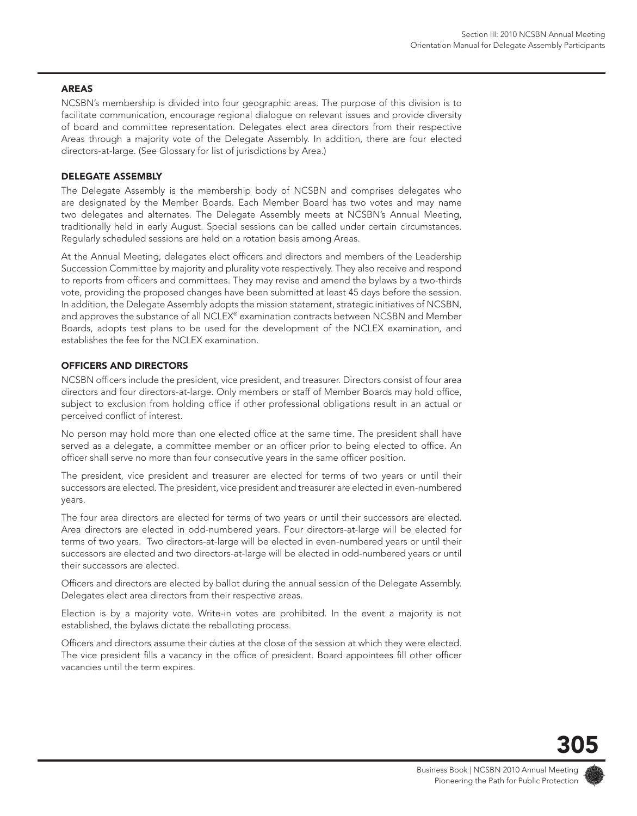### AREAS

NCSBN's membership is divided into four geographic areas. The purpose of this division is to facilitate communication, encourage regional dialogue on relevant issues and provide diversity of board and committee representation. Delegates elect area directors from their respective Areas through a majority vote of the Delegate Assembly. In addition, there are four elected directors-at-large. (See Glossary for list of jurisdictions by Area.)

### DELEGATE ASSEMBLY

The Delegate Assembly is the membership body of NCSBN and comprises delegates who are designated by the Member Boards. Each Member Board has two votes and may name two delegates and alternates. The Delegate Assembly meets at NCSBN's Annual Meeting, traditionally held in early August. Special sessions can be called under certain circumstances. Regularly scheduled sessions are held on a rotation basis among Areas.

At the Annual Meeting, delegates elect officers and directors and members of the Leadership Succession Committee by majority and plurality vote respectively. They also receive and respond to reports from officers and committees. They may revise and amend the bylaws by a two-thirds vote, providing the proposed changes have been submitted at least 45 days before the session. In addition, the Delegate Assembly adopts the mission statement, strategic initiatives of NCSBN, and approves the substance of all NCLEX® examination contracts between NCSBN and Member Boards, adopts test plans to be used for the development of the NCLEX examination, and establishes the fee for the NCLEX examination.

### OFFICERS AND DIRECTORS

NCSBN officers include the president, vice president, and treasurer. Directors consist of four area directors and four directors-at-large. Only members or staff of Member Boards may hold office, subject to exclusion from holding office if other professional obligations result in an actual or perceived conflict of interest.

No person may hold more than one elected office at the same time. The president shall have served as a delegate, a committee member or an officer prior to being elected to office. An officer shall serve no more than four consecutive years in the same officer position.

The president, vice president and treasurer are elected for terms of two years or until their successors are elected. The president, vice president and treasurer are elected in even-numbered years.

The four area directors are elected for terms of two years or until their successors are elected. Area directors are elected in odd-numbered years. Four directors-at-large will be elected for terms of two years. Two directors-at-large will be elected in even-numbered years or until their successors are elected and two directors-at-large will be elected in odd-numbered years or until their successors are elected.

Officers and directors are elected by ballot during the annual session of the Delegate Assembly. Delegates elect area directors from their respective areas.

Election is by a majority vote. Write-in votes are prohibited. In the event a majority is not established, the bylaws dictate the reballoting process.

Officers and directors assume their duties at the close of the session at which they were elected. The vice president fills a vacancy in the office of president. Board appointees fill other officer vacancies until the term expires.

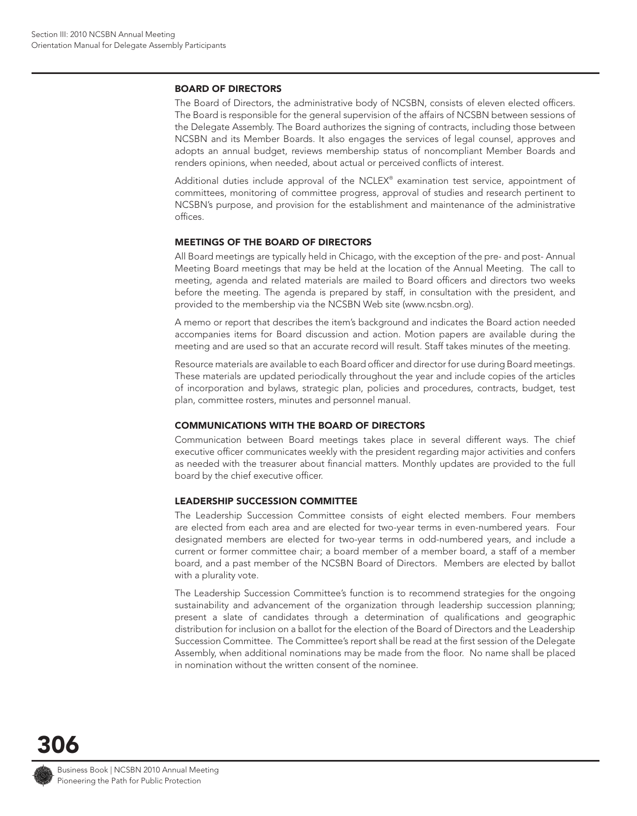### BOARD OF DIRECTORS

The Board of Directors, the administrative body of NCSBN, consists of eleven elected officers. The Board is responsible for the general supervision of the affairs of NCSBN between sessions of the Delegate Assembly. The Board authorizes the signing of contracts, including those between NCSBN and its Member Boards. It also engages the services of legal counsel, approves and adopts an annual budget, reviews membership status of noncompliant Member Boards and renders opinions, when needed, about actual or perceived conflicts of interest.

Additional duties include approval of the NCLEX® examination test service, appointment of committees, monitoring of committee progress, approval of studies and research pertinent to NCSBN's purpose, and provision for the establishment and maintenance of the administrative offices.

### MEETINGS OF THE BOARD OF DIRECTORS

All Board meetings are typically held in Chicago, with the exception of the pre- and post- Annual Meeting Board meetings that may be held at the location of the Annual Meeting. The call to meeting, agenda and related materials are mailed to Board officers and directors two weeks before the meeting. The agenda is prepared by staff, in consultation with the president, and provided to the membership via the NCSBN Web site (www.ncsbn.org).

A memo or report that describes the item's background and indicates the Board action needed accompanies items for Board discussion and action. Motion papers are available during the meeting and are used so that an accurate record will result. Staff takes minutes of the meeting.

Resource materials are available to each Board officer and director for use during Board meetings. These materials are updated periodically throughout the year and include copies of the articles of incorporation and bylaws, strategic plan, policies and procedures, contracts, budget, test plan, committee rosters, minutes and personnel manual.

### COMMUNICATIONS WITH THE BOARD OF DIRECTORS

Communication between Board meetings takes place in several different ways. The chief executive officer communicates weekly with the president regarding major activities and confers as needed with the treasurer about financial matters. Monthly updates are provided to the full board by the chief executive officer.

### LEADERSHIP SUCCESSION COMMITTEE

The Leadership Succession Committee consists of eight elected members. Four members are elected from each area and are elected for two-year terms in even-numbered years. Four designated members are elected for two-year terms in odd-numbered years, and include a current or former committee chair; a board member of a member board, a staff of a member board, and a past member of the NCSBN Board of Directors. Members are elected by ballot with a plurality vote.

The Leadership Succession Committee's function is to recommend strategies for the ongoing sustainability and advancement of the organization through leadership succession planning; present a slate of candidates through a determination of qualifications and geographic distribution for inclusion on a ballot for the election of the Board of Directors and the Leadership Succession Committee. The Committee's report shall be read at the first session of the Delegate Assembly, when additional nominations may be made from the floor. No name shall be placed in nomination without the written consent of the nominee.

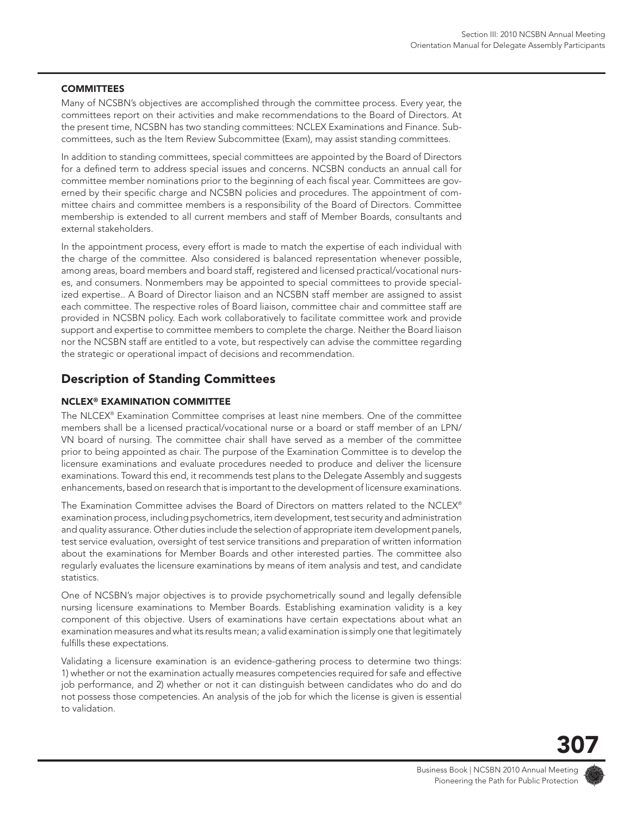### **COMMITTEES**

Many of NCSBN's objectives are accomplished through the committee process. Every year, the committees report on their activities and make recommendations to the Board of Directors. At the present time, NCSBN has two standing committees: NCLEX Examinations and Finance. Subcommittees, such as the Item Review Subcommittee (Exam), may assist standing committees.

In addition to standing committees, special committees are appointed by the Board of Directors for a defined term to address special issues and concerns. NCSBN conducts an annual call for committee member nominations prior to the beginning of each fiscal year. Committees are governed by their specific charge and NCSBN policies and procedures. The appointment of committee chairs and committee members is a responsibility of the Board of Directors. Committee membership is extended to all current members and staff of Member Boards, consultants and external stakeholders.

In the appointment process, every effort is made to match the expertise of each individual with the charge of the committee. Also considered is balanced representation whenever possible, among areas, board members and board staff, registered and licensed practical/vocational nurses, and consumers. Nonmembers may be appointed to special committees to provide specialized expertise.. A Board of Director liaison and an NCSBN staff member are assigned to assist each committee. The respective roles of Board liaison, committee chair and committee staff are provided in NCSBN policy. Each work collaboratively to facilitate committee work and provide support and expertise to committee members to complete the charge. Neither the Board liaison nor the NCSBN staff are entitled to a vote, but respectively can advise the committee regarding the strategic or operational impact of decisions and recommendation.

### Description of Standing Committees

### NCLEX® EXAMINATION COMMITTEE

The NLCEX® Examination Committee comprises at least nine members. One of the committee members shall be a licensed practical/vocational nurse or a board or staff member of an LPN/ VN board of nursing. The committee chair shall have served as a member of the committee prior to being appointed as chair. The purpose of the Examination Committee is to develop the licensure examinations and evaluate procedures needed to produce and deliver the licensure examinations. Toward this end, it recommends test plans to the Delegate Assembly and suggests enhancements, based on research that is important to the development of licensure examinations.

The Examination Committee advises the Board of Directors on matters related to the NCLEX® examination process, including psychometrics, item development, test security and administration and quality assurance. Other duties include the selection of appropriate item development panels, test service evaluation, oversight of test service transitions and preparation of written information about the examinations for Member Boards and other interested parties. The committee also regularly evaluates the licensure examinations by means of item analysis and test, and candidate statistics.

One of NCSBN's major objectives is to provide psychometrically sound and legally defensible nursing licensure examinations to Member Boards. Establishing examination validity is a key component of this objective. Users of examinations have certain expectations about what an examination measures and what its results mean; a valid examination is simply one that legitimately fulfills these expectations.

Validating a licensure examination is an evidence-gathering process to determine two things: 1) whether or not the examination actually measures competencies required for safe and effective job performance, and 2) whether or not it can distinguish between candidates who do and do not possess those competencies. An analysis of the job for which the license is given is essential to validation.

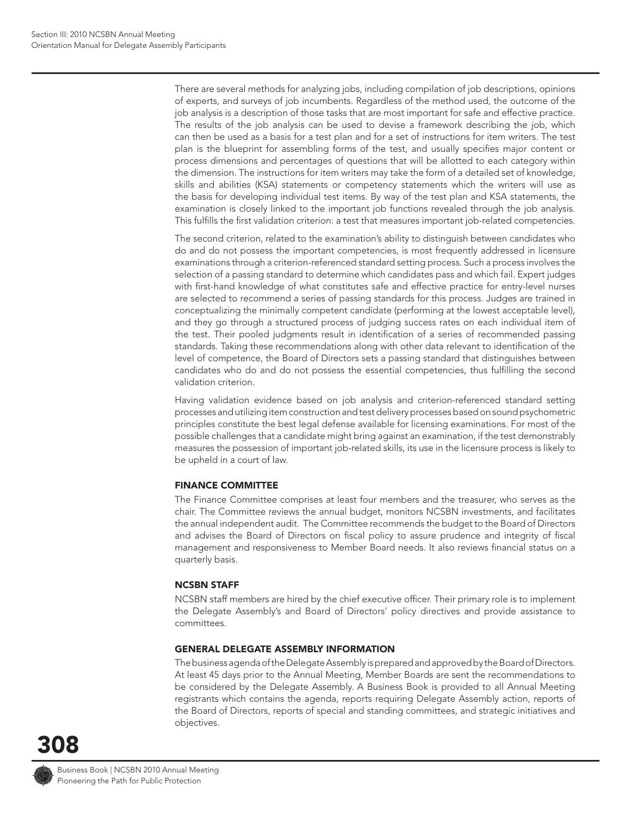There are several methods for analyzing jobs, including compilation of job descriptions, opinions of experts, and surveys of job incumbents. Regardless of the method used, the outcome of the job analysis is a description of those tasks that are most important for safe and effective practice. The results of the job analysis can be used to devise a framework describing the job, which can then be used as a basis for a test plan and for a set of instructions for item writers. The test plan is the blueprint for assembling forms of the test, and usually specifies major content or process dimensions and percentages of questions that will be allotted to each category within the dimension. The instructions for item writers may take the form of a detailed set of knowledge, skills and abilities (KSA) statements or competency statements which the writers will use as the basis for developing individual test items. By way of the test plan and KSA statements, the examination is closely linked to the important job functions revealed through the job analysis. This fulfills the first validation criterion: a test that measures important job-related competencies.

The second criterion, related to the examination's ability to distinguish between candidates who do and do not possess the important competencies, is most frequently addressed in licensure examinations through a criterion-referenced standard setting process. Such a process involves the selection of a passing standard to determine which candidates pass and which fail. Expert judges with first-hand knowledge of what constitutes safe and effective practice for entry-level nurses are selected to recommend a series of passing standards for this process. Judges are trained in conceptualizing the minimally competent candidate (performing at the lowest acceptable level), and they go through a structured process of judging success rates on each individual item of the test. Their pooled judgments result in identification of a series of recommended passing standards. Taking these recommendations along with other data relevant to identification of the level of competence, the Board of Directors sets a passing standard that distinguishes between candidates who do and do not possess the essential competencies, thus fulfilling the second validation criterion.

Having validation evidence based on job analysis and criterion-referenced standard setting processes and utilizing item construction and test delivery processes based on sound psychometric principles constitute the best legal defense available for licensing examinations. For most of the possible challenges that a candidate might bring against an examination, if the test demonstrably measures the possession of important job-related skills, its use in the licensure process is likely to be upheld in a court of law.

### FINANCE COMMITTEE

The Finance Committee comprises at least four members and the treasurer, who serves as the chair. The Committee reviews the annual budget, monitors NCSBN investments, and facilitates the annual independent audit. The Committee recommends the budget to the Board of Directors and advises the Board of Directors on fiscal policy to assure prudence and integrity of fiscal management and responsiveness to Member Board needs. It also reviews financial status on a quarterly basis.

### NCSBN STAFF

NCSBN staff members are hired by the chief executive officer. Their primary role is to implement the Delegate Assembly's and Board of Directors' policy directives and provide assistance to committees.

### GENERAL DELEGATE ASSEMBLY INFORMATION

The business agenda of the Delegate Assembly is prepared and approved by the Board of Directors. At least 45 days prior to the Annual Meeting, Member Boards are sent the recommendations to be considered by the Delegate Assembly. A Business Book is provided to all Annual Meeting registrants which contains the agenda, reports requiring Delegate Assembly action, reports of the Board of Directors, reports of special and standing committees, and strategic initiatives and objectives.

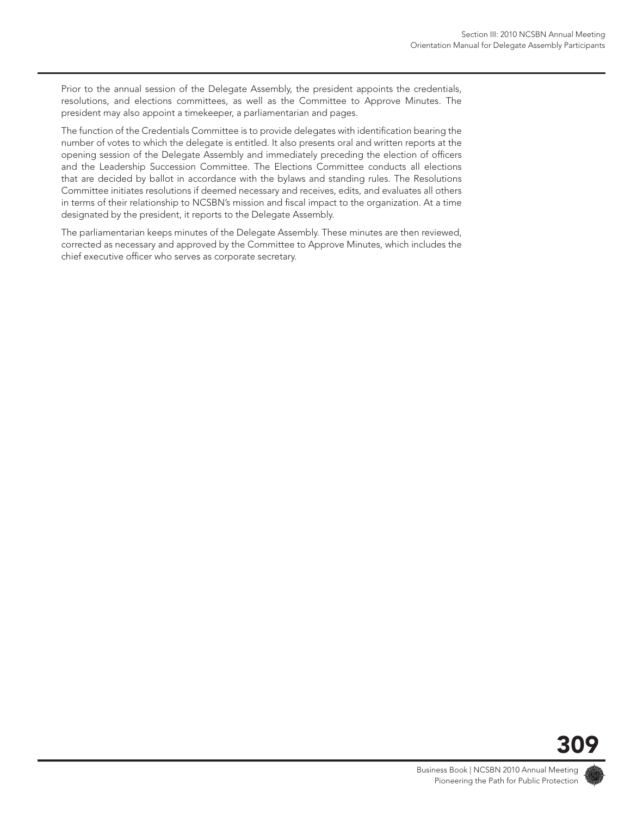Prior to the annual session of the Delegate Assembly, the president appoints the credentials, resolutions, and elections committees, as well as the Committee to Approve Minutes. The president may also appoint a timekeeper, a parliamentarian and pages.

The function of the Credentials Committee is to provide delegates with identification bearing the number of votes to which the delegate is entitled. It also presents oral and written reports at the opening session of the Delegate Assembly and immediately preceding the election of officers and the Leadership Succession Committee. The Elections Committee conducts all elections that are decided by ballot in accordance with the bylaws and standing rules. The Resolutions Committee initiates resolutions if deemed necessary and receives, edits, and evaluates all others in terms of their relationship to NCSBN's mission and fiscal impact to the organization. At a time designated by the president, it reports to the Delegate Assembly.

The parliamentarian keeps minutes of the Delegate Assembly. These minutes are then reviewed, corrected as necessary and approved by the Committee to Approve Minutes, which includes the chief executive officer who serves as corporate secretary.

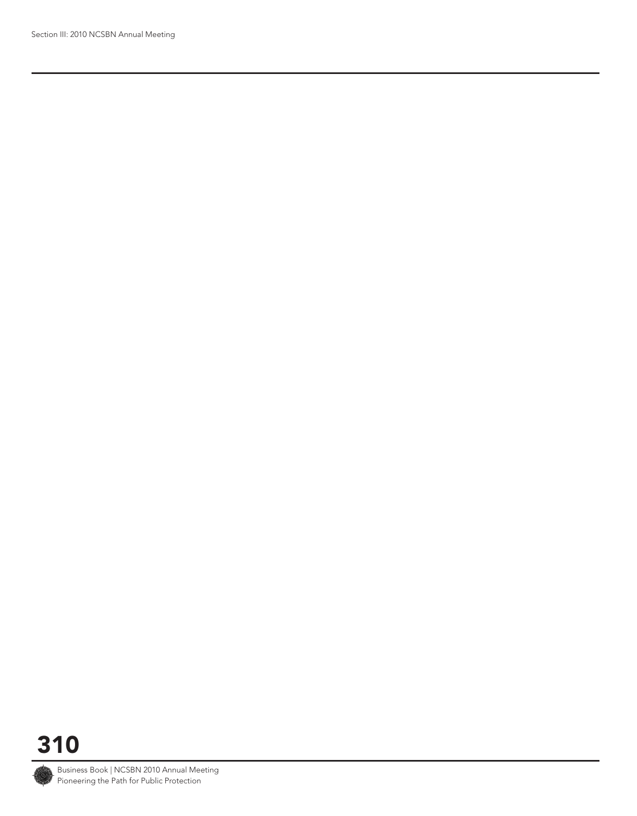Section III: 2010 NCSBN Annual Meeting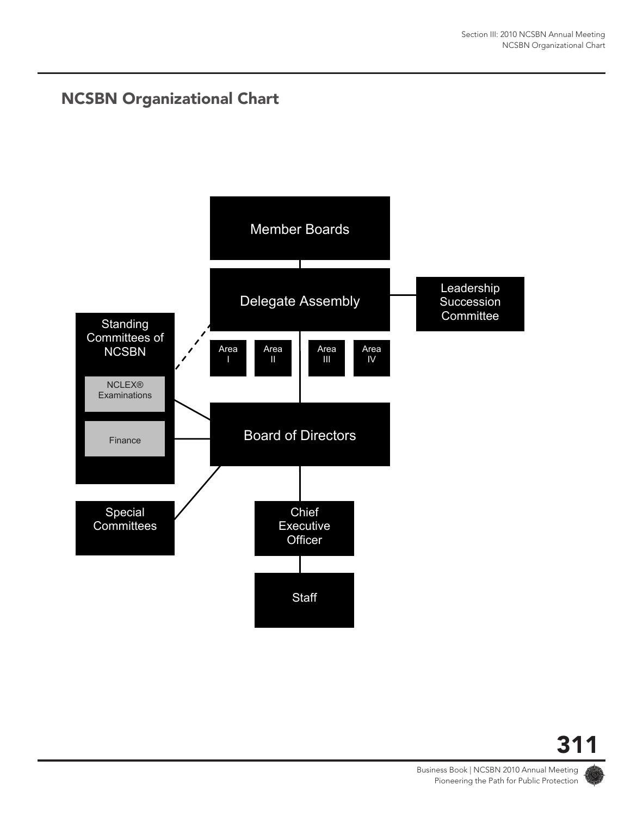### <span id="page-12-0"></span>NCSBN Organizational Chart



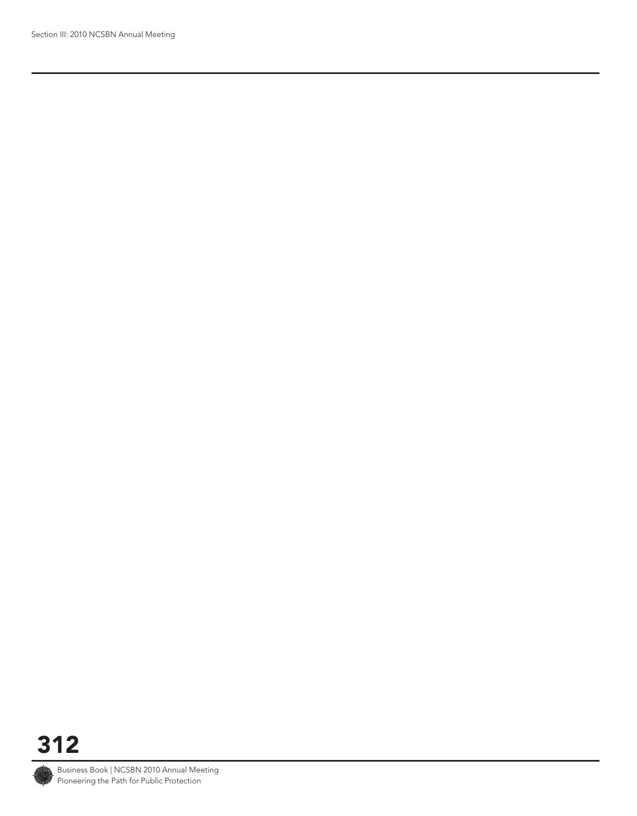Section III: 2010 NCSBN Annual Meeting

# 312

Business Book | NCSBN 2010 Annual Meeting Pioneering the Path for Public Protection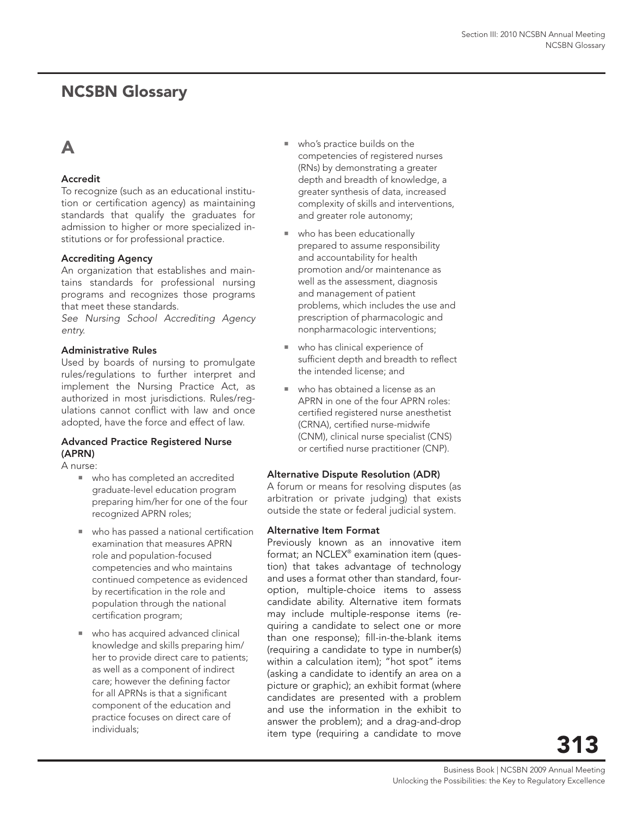### <span id="page-14-0"></span>NCSBN Glossary

## A

### Accredit

To recognize (such as an educational institution or certification agency) as maintaining standards that qualify the graduates for admission to higher or more specialized institutions or for professional practice.

### Accrediting Agency

An organization that establishes and maintains standards for professional nursing programs and recognizes those programs that meet these standards.

*See Nursing School Accrediting Agency entry.*

### Administrative Rules

Used by boards of nursing to promulgate rules/regulations to further interpret and implement the Nursing Practice Act, as authorized in most jurisdictions. Rules/regulations cannot conflict with law and once adopted, have the force and effect of law.

### Advanced Practice Registered Nurse (APRN)

A nurse:

- who has completed an accredited graduate-level education program preparing him/her for one of the four recognized APRN roles;
- who has passed a national certification examination that measures APRN role and population-focused competencies and who maintains continued competence as evidenced by recertification in the role and population through the national certification program;
- who has acquired advanced clinical knowledge and skills preparing him/ her to provide direct care to patients; as well as a component of indirect care; however the defining factor for all APRNs is that a significant component of the education and practice focuses on direct care of individuals;
- who's practice builds on the competencies of registered nurses (RNs) by demonstrating a greater depth and breadth of knowledge, a greater synthesis of data, increased complexity of skills and interventions, and greater role autonomy;
- who has been educationally prepared to assume responsibility and accountability for health promotion and/or maintenance as well as the assessment, diagnosis and management of patient problems, which includes the use and prescription of pharmacologic and nonpharmacologic interventions;
- who has clinical experience of sufficient depth and breadth to reflect the intended license; and
- who has obtained a license as an APRN in one of the four APRN roles: certified registered nurse anesthetist (CRNA), certified nurse-midwife (CNM), clinical nurse specialist (CNS) or certified nurse practitioner (CNP).

### Alternative Dispute Resolution (ADR)

A forum or means for resolving disputes (as arbitration or private judging) that exists outside the state or federal judicial system.

### Alternative Item Format

Previously known as an innovative item format; an NCLEX® examination item (question) that takes advantage of technology and uses a format other than standard, fouroption, multiple-choice items to assess candidate ability. Alternative item formats may include multiple-response items (requiring a candidate to select one or more than one response); fill-in-the-blank items (requiring a candidate to type in number(s) within a calculation item); "hot spot" items (asking a candidate to identify an area on a picture or graphic); an exhibit format (where candidates are presented with a problem and use the information in the exhibit to answer the problem); and a drag-and-drop item type (requiring a candidate to move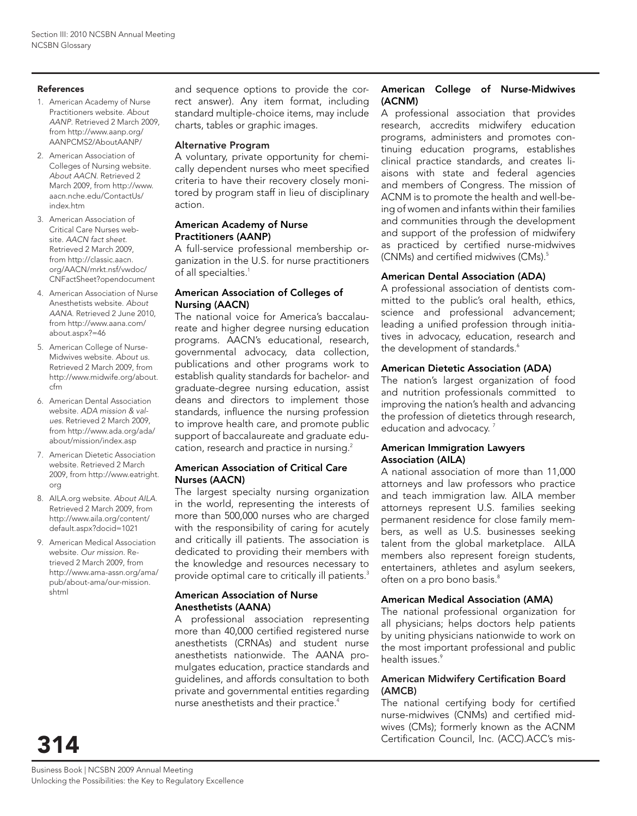### References

- 1. American Academy of Nurse Practitioners website. *About AANP*. Retrieved 2 March 2009, from http://www.aanp.org/ AANPCMS2/AboutAANP/
- 2. American Association of Colleges of Nursing website. *About AACN*. Retrieved 2 March 2009, from http://www. aacn.nche.edu/ContactUs/ index.htm
- 3. American Association of Critical Care Nurses website. *AACN fact sheet.* Retrieved 2 March 2009, from http://classic.aacn. org/AACN/mrkt.nsf/vwdoc/ CNFactSheet?opendocument
- 4. American Association of Nurse Anesthetists website. *About AANA*. Retrieved 2 June 2010, from http://www.aana.com/ about.aspx?=46
- 5. American College of Nurse-Midwives website. *About us.*  Retrieved 2 March 2009, from http://www.midwife.org/about. cfm
- 6. American Dental Association website. *ADA mission & values.* Retrieved 2 March 2009, from http://www.ada.org/ada/ about/mission/index.asp
- 7. American Dietetic Association website. Retrieved 2 March 2009, from http://www.eatright. org
- 8. AILA.org website. *About AILA*. Retrieved 2 March 2009, from http://www.aila.org/content/ default.aspx?docid=1021
- 9. American Medical Association website. *Our mission.* Retrieved 2 March 2009, from http://www.ama-assn.org/ama/ pub/about-ama/our-mission. shtml

and sequence options to provide the correct answer). Any item format, including standard multiple-choice items, may include charts, tables or graphic images.

### Alternative Program

A voluntary, private opportunity for chemically dependent nurses who meet specified criteria to have their recovery closely monitored by program staff in lieu of disciplinary action.

### American Academy of Nurse Practitioners (AANP)

A full-service professional membership organization in the U.S. for nurse practitioners of all specialties.<sup>1</sup>

### American Association of Colleges of Nursing (AACN)

The national voice for America's baccalaureate and higher degree nursing education programs. AACN's educational, research, governmental advocacy, data collection, publications and other programs work to establish quality standards for bachelor- and graduate-degree nursing education, assist deans and directors to implement those standards, influence the nursing profession to improve health care, and promote public support of baccalaureate and graduate education, research and practice in nursing.<sup>2</sup>

### American Association of Critical Care Nurses (AACN)

The largest specialty nursing organization in the world, representing the interests of more than 500,000 nurses who are charged with the responsibility of caring for acutely and critically ill patients. The association is dedicated to providing their members with the knowledge and resources necessary to provide optimal care to critically ill patients.<sup>3</sup>

### American Association of Nurse Anesthetists (AANA)

A professional association representing more than 40,000 certified registered nurse anesthetists (CRNAs) and student nurse anesthetists nationwide. The AANA promulgates education, practice standards and guidelines, and affords consultation to both private and governmental entities regarding nurse anesthetists and their practice.<sup>4</sup>

### American College of Nurse-Midwives (ACNM)

A professional association that provides research, accredits midwifery education programs, administers and promotes continuing education programs, establishes clinical practice standards, and creates liaisons with state and federal agencies and members of Congress. The mission of ACNM is to promote the health and well-being of women and infants within their families and communities through the development and support of the profession of midwifery as practiced by certified nurse-midwives (CNMs) and certified midwives (CMs).<sup>5</sup>

### American Dental Association (ADA)

A professional association of dentists committed to the public's oral health, ethics, science and professional advancement; leading a unified profession through initiatives in advocacy, education, research and the development of standards.<sup>6</sup>

### American Dietetic Association (ADA)

The nation's largest organization of food and nutrition professionals committed to improving the nation's health and advancing the profession of dietetics through research, education and advocacy.<sup>7</sup>

### American Immigration Lawyers Association (AILA)

A national association of more than 11,000 attorneys and law professors who practice and teach immigration law. AILA member attorneys represent U.S. families seeking permanent residence for close family members, as well as U.S. businesses seeking talent from the global marketplace. AILA members also represent foreign students, entertainers, athletes and asylum seekers, often on a pro bono basis.<sup>8</sup>

### American Medical Association (AMA)

The national professional organization for all physicians; helps doctors help patients by uniting physicians nationwide to work on the most important professional and public health issues.<sup>9</sup>

### American Midwifery Certification Board (AMCB)

The national certifying body for certified nurse-midwives (CNMs) and certified midwives (CMs); formerly known as the ACNM Certification Council, Inc. (ACC).ACC's mis-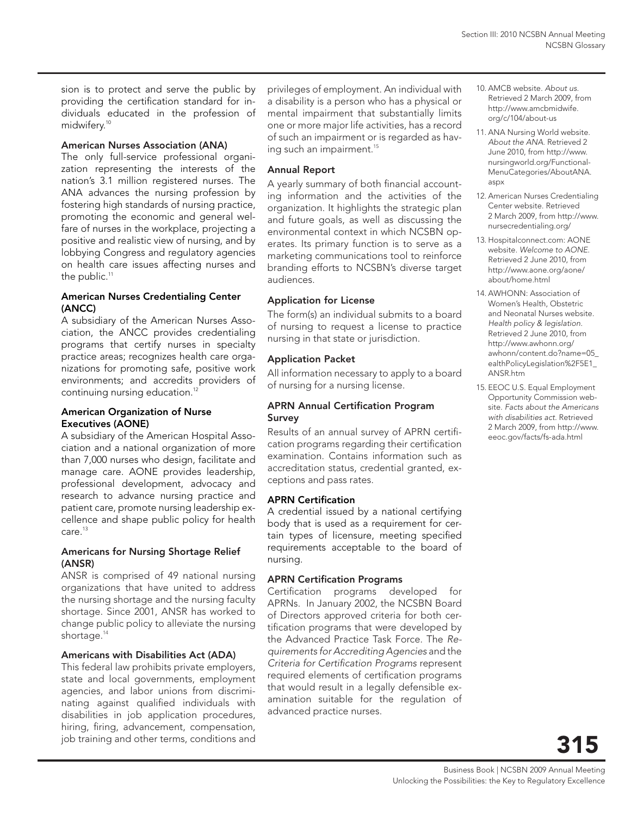sion is to protect and serve the public by providing the certification standard for individuals educated in the profession of midwifery.<sup>10</sup>

### American Nurses Association (ANA)

The only full-service professional organization representing the interests of the nation's 3.1 million registered nurses. The ANA advances the nursing profession by fostering high standards of nursing practice, promoting the economic and general welfare of nurses in the workplace, projecting a positive and realistic view of nursing, and by lobbying Congress and regulatory agencies on health care issues affecting nurses and the public.<sup>11</sup>

### American Nurses Credentialing Center (ANCC)

A subsidiary of the American Nurses Association, the ANCC provides credentialing programs that certify nurses in specialty practice areas; recognizes health care organizations for promoting safe, positive work environments; and accredits providers of continuing nursing education.<sup>12</sup>

### American Organization of Nurse Executives (AONE)

A subsidiary of the American Hospital Association and a national organization of more than 7,000 nurses who design, facilitate and manage care. AONE provides leadership, professional development, advocacy and research to advance nursing practice and patient care, promote nursing leadership excellence and shape public policy for health care.<sup>13</sup>

### Americans for Nursing Shortage Relief (ANSR)

ANSR is comprised of 49 national nursing organizations that have united to address the nursing shortage and the nursing faculty shortage. Since 2001, ANSR has worked to change public policy to alleviate the nursing shortage.<sup>14</sup>

### Americans with Disabilities Act (ADA)

This federal law prohibits private employers, state and local governments, employment agencies, and labor unions from discriminating against qualified individuals with disabilities in job application procedures, hiring, firing, advancement, compensation, job training and other terms, conditions and

privileges of employment. An individual with a disability is a person who has a physical or mental impairment that substantially limits one or more major life activities, has a record of such an impairment or is regarded as having such an impairment.<sup>15</sup>

### Annual Report

A yearly summary of both financial accounting information and the activities of the organization. It highlights the strategic plan and future goals, as well as discussing the environmental context in which NCSBN operates. Its primary function is to serve as a marketing communications tool to reinforce branding efforts to NCSBN's diverse target audiences.

### Application for License

The form(s) an individual submits to a board of nursing to request a license to practice nursing in that state or jurisdiction.

### Application Packet

All information necessary to apply to a board of nursing for a nursing license.

### APRN Annual Certification Program Survey

Results of an annual survey of APRN certification programs regarding their certification examination. Contains information such as accreditation status, credential granted, exceptions and pass rates.

### APRN Certification

A credential issued by a national certifying body that is used as a requirement for certain types of licensure, meeting specified requirements acceptable to the board of nursing.

### APRN Certification Programs

Certification programs developed for APRNs. In January 2002, the NCSBN Board of Directors approved criteria for both certification programs that were developed by the Advanced Practice Task Force. The *Requirements for Accrediting Agencies* and the *Criteria for Certification Programs* represent required elements of certification programs that would result in a legally defensible examination suitable for the regulation of advanced practice nurses.

- 10. AMCB website. *About us*. Retrieved 2 March 2009, from http://www.amcbmidwife. org/c/104/about-us
- 11. ANA Nursing World website. *About the ANA*. Retrieved 2 June 2010, from http://www. nursingworld.org/Functional-MenuCategories/AboutANA. aspx
- 12. American Nurses Credentialing Center website. Retrieved 2 March 2009, from http://www. nursecredentialing.org/
- 13. Hospitalconnect.com: AONE website. *Welcome to AONE*. Retrieved 2 June 2010, from http://www.aone.org/aone/ about/home.html
- 14. AWHONN: Association of Women's Health, Obstetric and Neonatal Nurses website. *Health policy & legislation.* Retrieved 2 June 2010, from http://www.awhonn.org/ awhonn/content.do?name=05\_ ealthPolicyLegislation%2F5E1\_ ANSR.htm
- 15. EEOC U.S. Equal Employment Opportunity Commission website. *Facts about the Americans with disabilities act*. Retrieved 2 March 2009, from http://www. eeoc.gov/facts/fs-ada.html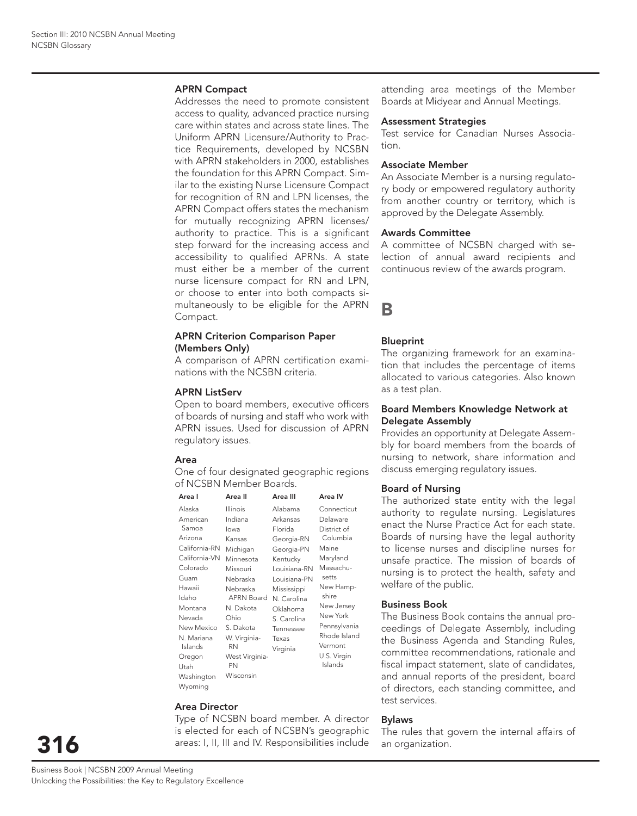### APRN Compact

Addresses the need to promote consistent access to quality, advanced practice nursing care within states and across state lines. The Uniform APRN Licensure/Authority to Practice Requirements, developed by NCSBN with APRN stakeholders in 2000, establishes the foundation for this APRN Compact. Similar to the existing Nurse Licensure Compact for recognition of RN and LPN licenses, the APRN Compact offers states the mechanism for mutually recognizing APRN licenses/ authority to practice. This is a significant step forward for the increasing access and accessibility to qualified APRNs. A state must either be a member of the current nurse licensure compact for RN and LPN, or choose to enter into both compacts simultaneously to be eligible for the APRN Compact.

### APRN Criterion Comparison Paper (Members Only)

A comparison of APRN certification examinations with the NCSBN criteria.

### APRN ListServ

Open to board members, executive officers of boards of nursing and staff who work with APRN issues. Used for discussion of APRN regulatory issues.

### Area

One of four designated geographic regions of NCSBN Member Boards.

| Area I                                                                                                                                                                              | Area II                                                                                                                                                                                            | Area III                                                                                                                                                                               | Area IV                                                                                                                                                                                             |
|-------------------------------------------------------------------------------------------------------------------------------------------------------------------------------------|----------------------------------------------------------------------------------------------------------------------------------------------------------------------------------------------------|----------------------------------------------------------------------------------------------------------------------------------------------------------------------------------------|-----------------------------------------------------------------------------------------------------------------------------------------------------------------------------------------------------|
| Alaska                                                                                                                                                                              | Illinois                                                                                                                                                                                           | Alabama                                                                                                                                                                                | Connecticut                                                                                                                                                                                         |
| American<br>Samoa<br>Arizona<br>California-RN<br>California-VN<br>Colorado<br>Guam<br>Hawaii<br>Idaho<br>Montana<br>Nevada<br>New Mexico<br>N. Mariana<br>Islands<br>Oregon<br>Utah | Indiana<br>lowa<br>Kansas<br>Michigan<br>Minnesota<br>Missouri<br>Nebraska<br>Nebraska<br><b>APRN Board</b><br>N. Dakota<br>Ohio<br>S. Dakota<br>W. Virginia-<br><b>RN</b><br>West Virginia-<br>PN | Arkansas<br>Florida<br>Georgia-RN<br>Georgia-PN<br>Kentucky<br>Louisiana-RN<br>Louisiana-PN<br>Mississippi<br>N. Carolina<br>Oklahoma<br>S. Carolina<br>Tennessee<br>Texas<br>Virginia | Delaware<br>District of<br>Columbia<br>Maine<br>Maryland<br>Massachu-<br>setts<br>New Hamp-<br>shire<br>New Jersey<br>New York<br>Pennsylvania<br>Rhode Island<br>Vermont<br>U.S. Virgin<br>Islands |
| Washington<br>Wyoming                                                                                                                                                               | Wisconsin                                                                                                                                                                                          |                                                                                                                                                                                        |                                                                                                                                                                                                     |

### Area Director

Type of NCSBN board member. A director is elected for each of NCSBN's geographic areas: I, II, III and IV. Responsibilities include

attending area meetings of the Member Boards at Midyear and Annual Meetings.

### Assessment Strategies

Test service for Canadian Nurses Association.

### Associate Member

An Associate Member is a nursing regulatory body or empowered regulatory authority from another country or territory, which is approved by the Delegate Assembly.

### Awards Committee

A committee of NCSBN charged with selection of annual award recipients and continuous review of the awards program.

### B

### Blueprint

The organizing framework for an examination that includes the percentage of items allocated to various categories. Also known as a test plan.

### Board Members Knowledge Network at Delegate Assembly

Provides an opportunity at Delegate Assembly for board members from the boards of nursing to network, share information and discuss emerging regulatory issues.

### Board of Nursing

The authorized state entity with the legal authority to regulate nursing. Legislatures enact the Nurse Practice Act for each state. Boards of nursing have the legal authority to license nurses and discipline nurses for unsafe practice. The mission of boards of nursing is to protect the health, safety and welfare of the public.

### Business Book

The Business Book contains the annual proceedings of Delegate Assembly, including the Business Agenda and Standing Rules, committee recommendations, rationale and fiscal impact statement, slate of candidates, and annual reports of the president, board of directors, each standing committee, and test services.

### Bylaws

The rules that govern the internal affairs of an organization.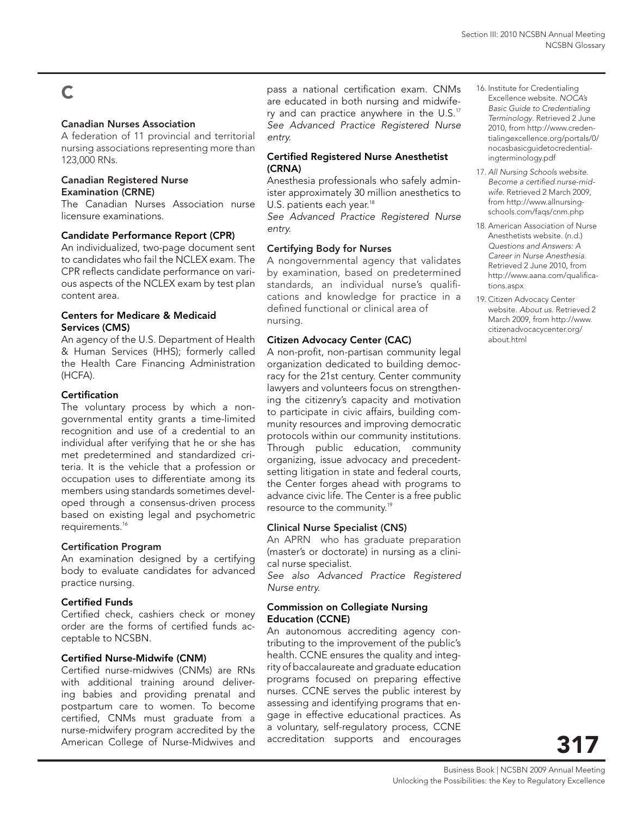## C

### Canadian Nurses Association

A federation of 11 provincial and territorial nursing associations representing more than 123,000 RNs.

### Canadian Registered Nurse Examination (CRNE)

The Canadian Nurses Association nurse licensure examinations.

### Candidate Performance Report (CPR)

An individualized, two-page document sent to candidates who fail the NCLEX exam. The CPR reflects candidate performance on various aspects of the NCLEX exam by test plan content area.

### Centers for Medicare & Medicaid Services (CMS)

An agency of the U.S. Department of Health & Human Services (HHS); formerly called the Health Care Financing Administration (HCFA).

### **Certification**

The voluntary process by which a nongovernmental entity grants a time-limited recognition and use of a credential to an individual after verifying that he or she has met predetermined and standardized criteria. It is the vehicle that a profession or occupation uses to differentiate among its members using standards sometimes developed through a consensus-driven process based on existing legal and psychometric requirements.16

### Certification Program

An examination designed by a certifying body to evaluate candidates for advanced practice nursing.

### Certified Funds

Certified check, cashiers check or money order are the forms of certified funds acceptable to NCSBN.

### Certified Nurse-Midwife (CNM)

Certified nurse-midwives (CNMs) are RNs with additional training around delivering babies and providing prenatal and postpartum care to women. To become certified, CNMs must graduate from a nurse-midwifery program accredited by the American College of Nurse-Midwives and

pass a national certification exam. CNMs are educated in both nursing and midwifery and can practice anywhere in the  $U.S.^{17}$ *See Advanced Practice Registered Nurse entry.* 

### Certified Registered Nurse Anesthetist (CRNA)

Anesthesia professionals who safely administer approximately 30 million anesthetics to U.S. patients each year.<sup>18</sup>

*See Advanced Practice Registered Nurse entry.*

### Certifying Body for Nurses

A nongovernmental agency that validates by examination, based on predetermined standards, an individual nurse's qualifications and knowledge for practice in a defined functional or clinical area of nursing.

### Citizen Advocacy Center (CAC)

A non-profit, non-partisan community legal organization dedicated to building democracy for the 21st century. Center community lawyers and volunteers focus on strengthening the citizenry's capacity and motivation to participate in civic affairs, building community resources and improving democratic protocols within our community institutions. Through public education, community organizing, issue advocacy and precedentsetting litigation in state and federal courts, the Center forges ahead with programs to advance civic life. The Center is a free public resource to the community.<sup>19</sup>

### Clinical Nurse Specialist (CNS)

An APRN who has graduate preparation (master's or doctorate) in nursing as a clinical nurse specialist.

*See also Advanced Practice Registered Nurse entry.* 

### Commission on Collegiate Nursing Education (CCNE)

An autonomous accrediting agency contributing to the improvement of the public's health. CCNE ensures the quality and integrity of baccalaureate and graduate education programs focused on preparing effective nurses. CCNE serves the public interest by assessing and identifying programs that engage in effective educational practices. As a voluntary, self-regulatory process, CCNE accreditation supports and encourages

- 16. Institute for Credentialing Excellence website. *NOCA's Basic Guide to Credentialing Terminology*. Retrieved 2 June 2010, from http://www.credentialingexcellence.org/portals/0/ nocasbasicguidetocredentialingterminology.pdf
- 17. *All Nursing Schools website*. *Become a certified nurse-midwife*. Retrieved 2 March 2009, from http://www.allnursingschools.com/faqs/cnm.php
- 18. American Association of Nurse Anesthetists website. (n.d.) *Questions and Answers: A Career in Nurse Anesthesia*. Retrieved 2 June 2010, from http://www.aana.com/qualifications.aspx
- 19. Citizen Advocacy Center website. *About us*. Retrieved 2 March 2009, from http://www. citizenadvocacycenter.org/ about.html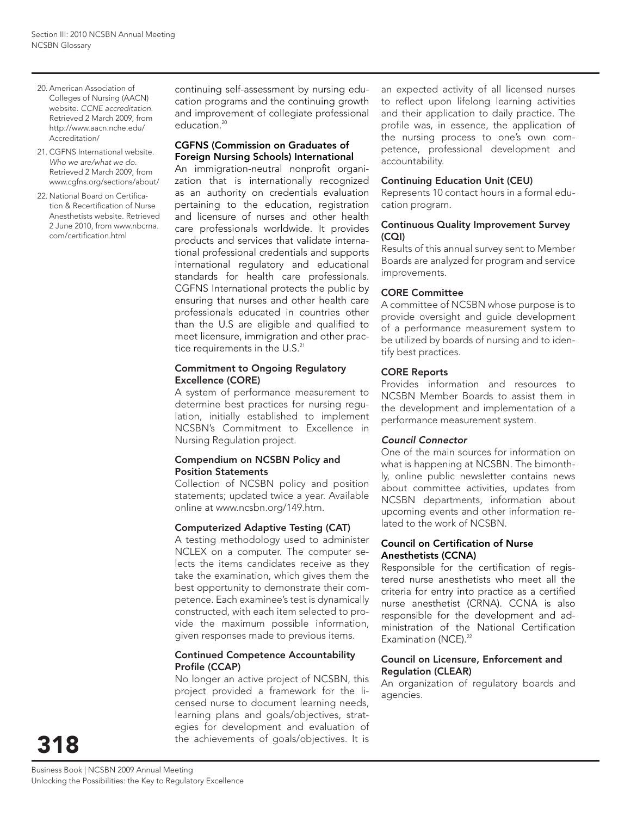- 20. American Association of Colleges of Nursing (AACN) website. *CCNE accreditation*. Retrieved 2 March 2009, from http://www.aacn.nche.edu/ Accreditation/
- 21. CGFNS International website. *Who we are/what we do*. Retrieved 2 March 2009, from www.cgfns.org/sections/about/
- 22. National Board on Certification & Recertification of Nurse Anesthetists website. Retrieved 2 June 2010, from www.nbcrna. com/certification.html

continuing self-assessment by nursing education programs and the continuing growth and improvement of collegiate professional education.<sup>20</sup>

### CGFNS (Commission on Graduates of Foreign Nursing Schools) International

An immigration-neutral nonprofit organization that is internationally recognized as an authority on credentials evaluation pertaining to the education, registration and licensure of nurses and other health care professionals worldwide. It provides products and services that validate international professional credentials and supports international regulatory and educational standards for health care professionals. CGFNS International protects the public by ensuring that nurses and other health care professionals educated in countries other than the U.S are eligible and qualified to meet licensure, immigration and other practice requirements in the U.S.<sup>21</sup>

### Commitment to Ongoing Regulatory Excellence (CORE)

A system of performance measurement to determine best practices for nursing regulation, initially established to implement NCSBN's Commitment to Excellence in Nursing Regulation project.

### Compendium on NCSBN Policy and Position Statements

Collection of NCSBN policy and position statements; updated twice a year. Available online at www.ncsbn.org/149.htm.

### Computerized Adaptive Testing (CAT)

A testing methodology used to administer NCLEX on a computer. The computer selects the items candidates receive as they take the examination, which gives them the best opportunity to demonstrate their competence. Each examinee's test is dynamically constructed, with each item selected to provide the maximum possible information, given responses made to previous items.

### Continued Competence Accountability Profile (CCAP)

No longer an active project of NCSBN, this project provided a framework for the licensed nurse to document learning needs, learning plans and goals/objectives, strategies for development and evaluation of the achievements of goals/objectives. It is

an expected activity of all licensed nurses to reflect upon lifelong learning activities and their application to daily practice. The profile was, in essence, the application of the nursing process to one's own competence, professional development and accountability.

### Continuing Education Unit (CEU)

Represents 10 contact hours in a formal education program.

### Continuous Quality Improvement Survey  $(C<sub>OD</sub>)$

Results of this annual survey sent to Member Boards are analyzed for program and service improvements.

### CORE Committee

A committee of NCSBN whose purpose is to provide oversight and guide development of a performance measurement system to be utilized by boards of nursing and to identify best practices.

### CORE Reports

Provides information and resources to NCSBN Member Boards to assist them in the development and implementation of a performance measurement system.

### *Council Connector*

One of the main sources for information on what is happening at NCSBN. The bimonthly, online public newsletter contains news about committee activities, updates from NCSBN departments, information about upcoming events and other information related to the work of NCSBN.

### Council on Certification of Nurse Anesthetists (CCNA)

Responsible for the certification of registered nurse anesthetists who meet all the criteria for entry into practice as a certified nurse anesthetist (CRNA). CCNA is also responsible for the development and administration of the National Certification Examination (NCE).<sup>22</sup>

### Council on Licensure, Enforcement and Regulation (CLEAR)

An organization of regulatory boards and agencies.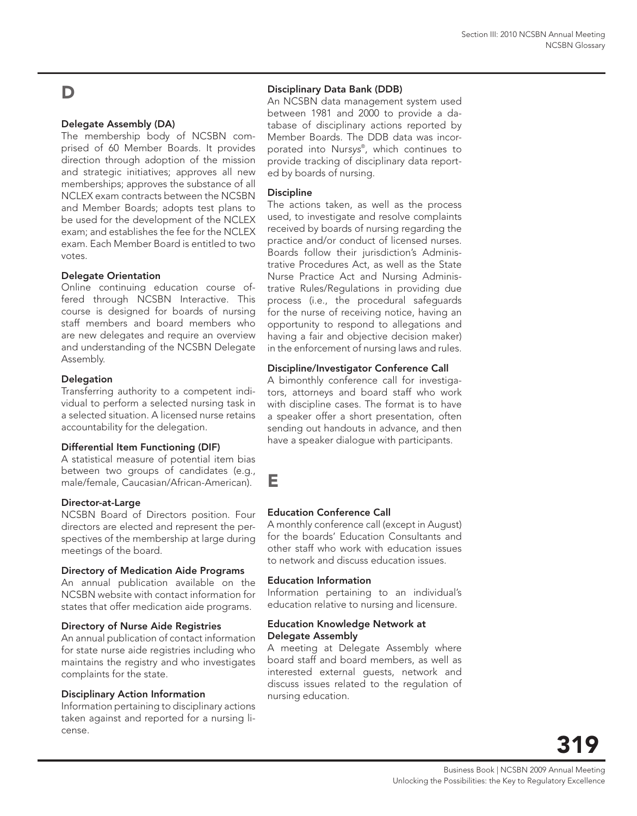## D

### Delegate Assembly (DA)

The membership body of NCSBN comprised of 60 Member Boards. It provides direction through adoption of the mission and strategic initiatives; approves all new memberships; approves the substance of all NCLEX exam contracts between the NCSBN and Member Boards; adopts test plans to be used for the development of the NCLEX exam; and establishes the fee for the NCLEX exam. Each Member Board is entitled to two votes.

### Delegate Orientation

Online continuing education course offered through NCSBN Interactive. This course is designed for boards of nursing staff members and board members who are new delegates and require an overview and understanding of the NCSBN Delegate Assembly.

### Delegation

Transferring authority to a competent individual to perform a selected nursing task in a selected situation. A licensed nurse retains accountability for the delegation.

### Differential Item Functioning (DIF)

A statistical measure of potential item bias between two groups of candidates (e.g., male/female, Caucasian/African-American).

### Director-at-Large

NCSBN Board of Directors position. Four directors are elected and represent the perspectives of the membership at large during meetings of the board.

### Directory of Medication Aide Programs

An annual publication available on the NCSBN website with contact information for states that offer medication aide programs.

### Directory of Nurse Aide Registries

An annual publication of contact information for state nurse aide registries including who maintains the registry and who investigates complaints for the state.

### Disciplinary Action Information

Information pertaining to disciplinary actions taken against and reported for a nursing license.

### Disciplinary Data Bank (DDB)

An NCSBN data management system used between 1981 and 2000 to provide a database of disciplinary actions reported by Member Boards. The DDB data was incorporated into Nur*sys*® , which continues to provide tracking of disciplinary data reported by boards of nursing.

### **Discipline**

The actions taken, as well as the process used, to investigate and resolve complaints received by boards of nursing regarding the practice and/or conduct of licensed nurses. Boards follow their jurisdiction's Administrative Procedures Act, as well as the State Nurse Practice Act and Nursing Administrative Rules/Regulations in providing due process (i.e., the procedural safeguards for the nurse of receiving notice, having an opportunity to respond to allegations and having a fair and objective decision maker) in the enforcement of nursing laws and rules.

### Discipline/Investigator Conference Call

A bimonthly conference call for investigators, attorneys and board staff who work with discipline cases. The format is to have a speaker offer a short presentation, often sending out handouts in advance, and then have a speaker dialogue with participants.

### Education Conference Call

E

A monthly conference call (except in August) for the boards' Education Consultants and other staff who work with education issues to network and discuss education issues.

### Education Information

Information pertaining to an individual's education relative to nursing and licensure.

### Education Knowledge Network at Delegate Assembly

A meeting at Delegate Assembly where board staff and board members, as well as interested external guests, network and discuss issues related to the regulation of nursing education.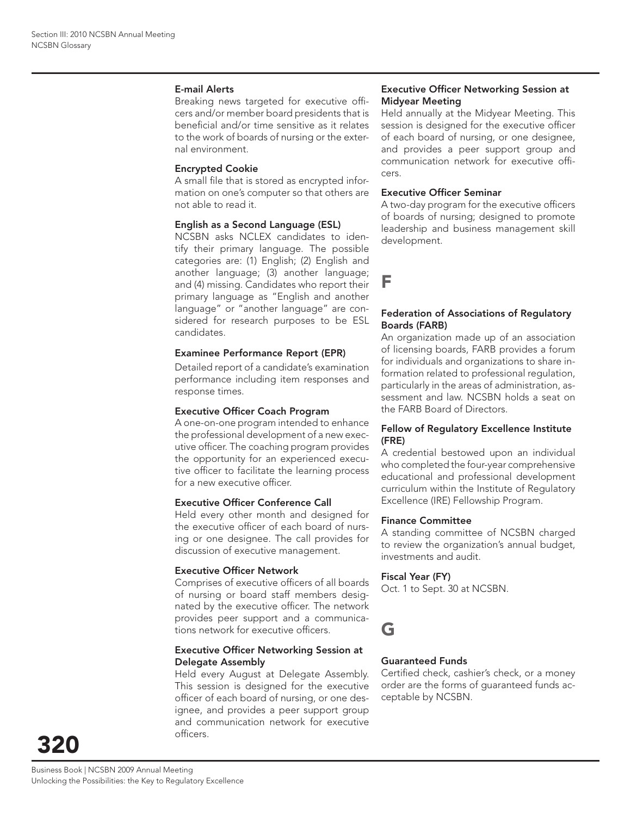### E-mail Alerts

Breaking news targeted for executive officers and/or member board presidents that is beneficial and/or time sensitive as it relates to the work of boards of nursing or the external environment.

### Encrypted Cookie

A small file that is stored as encrypted information on one's computer so that others are not able to read it.

### English as a Second Language (ESL)

NCSBN asks NCLEX candidates to identify their primary language. The possible categories are: (1) English; (2) English and another language; (3) another language; and (4) missing. Candidates who report their primary language as "English and another language" or "another language" are considered for research purposes to be ESL candidates.

### Examinee Performance Report (EPR)

Detailed report of a candidate's examination performance including item responses and response times.

### Executive Officer Coach Program

A one-on-one program intended to enhance the professional development of a new executive officer. The coaching program provides the opportunity for an experienced executive officer to facilitate the learning process for a new executive officer.

### Executive Officer Conference Call

Held every other month and designed for the executive officer of each board of nursing or one designee. The call provides for discussion of executive management.

### Executive Officer Network

Comprises of executive officers of all boards of nursing or board staff members designated by the executive officer. The network provides peer support and a communications network for executive officers.

### Executive Officer Networking Session at Delegate Assembly

Held every August at Delegate Assembly. This session is designed for the executive officer of each board of nursing, or one designee, and provides a peer support group and communication network for executive officers.

### Executive Officer Networking Session at Midyear Meeting

Held annually at the Midyear Meeting. This session is designed for the executive officer of each board of nursing, or one designee, and provides a peer support group and communication network for executive officers.

### Executive Officer Seminar

A two-day program for the executive officers of boards of nursing; designed to promote leadership and business management skill development.

### F

### Federation of Associations of Regulatory Boards (FARB)

An organization made up of an association of licensing boards, FARB provides a forum for individuals and organizations to share information related to professional regulation, particularly in the areas of administration, assessment and law. NCSBN holds a seat on the FARB Board of Directors.

### Fellow of Regulatory Excellence Institute (FRE)

A credential bestowed upon an individual who completed the four-year comprehensive educational and professional development curriculum within the Institute of Regulatory Excellence (IRE) Fellowship Program.

### Finance Committee

A standing committee of NCSBN charged to review the organization's annual budget, investments and audit.

### Fiscal Year (FY)

Oct. 1 to Sept. 30 at NCSBN.

G

### Guaranteed Funds

Certified check, cashier's check, or a money order are the forms of guaranteed funds acceptable by NCSBN.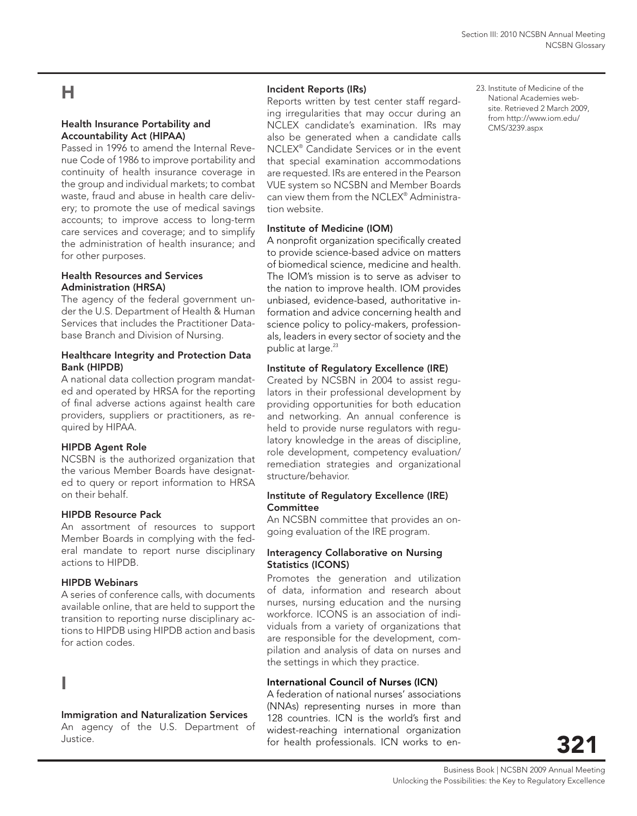## H

### Health Insurance Portability and Accountability Act (HIPAA)

Passed in 1996 to amend the Internal Revenue Code of 1986 to improve portability and continuity of health insurance coverage in the group and individual markets; to combat waste, fraud and abuse in health care delivery; to promote the use of medical savings accounts; to improve access to long-term care services and coverage; and to simplify the administration of health insurance; and for other purposes.

### Health Resources and Services Administration (HRSA)

The agency of the federal government under the U.S. Department of Health & Human Services that includes the Practitioner Database Branch and Division of Nursing.

### Healthcare Integrity and Protection Data Bank (HIPDB)

A national data collection program mandated and operated by HRSA for the reporting of final adverse actions against health care providers, suppliers or practitioners, as required by HIPAA.

### HIPDB Agent Role

NCSBN is the authorized organization that the various Member Boards have designated to query or report information to HRSA on their behalf.

### HIPDB Resource Pack

An assortment of resources to support Member Boards in complying with the federal mandate to report nurse disciplinary actions to HIPDB.

### HIPDB Webinars

A series of conference calls, with documents available online, that are held to support the transition to reporting nurse disciplinary actions to HIPDB using HIPDB action and basis for action codes.

### I

### Immigration and Naturalization Services

An agency of the U.S. Department of Justice.

### Incident Reports (IRs)

Reports written by test center staff regarding irregularities that may occur during an NCLEX candidate's examination. IRs may also be generated when a candidate calls NCLEX® Candidate Services or in the event that special examination accommodations are requested. IRs are entered in the Pearson VUE system so NCSBN and Member Boards can view them from the NCLEX® Administration website.

### Institute of Medicine (IOM)

A nonprofit organization specifically created to provide science-based advice on matters of biomedical science, medicine and health. The IOM's mission is to serve as adviser to the nation to improve health. IOM provides unbiased, evidence-based, authoritative information and advice concerning health and science policy to policy-makers, professionals, leaders in every sector of society and the public at large.<sup>23</sup>

### Institute of Regulatory Excellence (IRE)

Created by NCSBN in 2004 to assist regulators in their professional development by providing opportunities for both education and networking. An annual conference is held to provide nurse regulators with regulatory knowledge in the areas of discipline, role development, competency evaluation/ remediation strategies and organizational structure/behavior.

### Institute of Regulatory Excellence (IRE) **Committee**

An NCSBN committee that provides an ongoing evaluation of the IRE program.

### Interagency Collaborative on Nursing Statistics (ICONS)

Promotes the generation and utilization of data, information and research about nurses, nursing education and the nursing workforce. ICONS is an association of individuals from a variety of organizations that are responsible for the development, compilation and analysis of data on nurses and the settings in which they practice.

### International Council of Nurses (ICN)

A federation of national nurses' associations (NNAs) representing nurses in more than 128 countries. ICN is the world's first and widest-reaching international organization for health professionals. ICN works to en23. Institute of Medicine of the National Academies website. Retrieved 2 March 2009, from http://www.iom.edu/ CMS/3239.aspx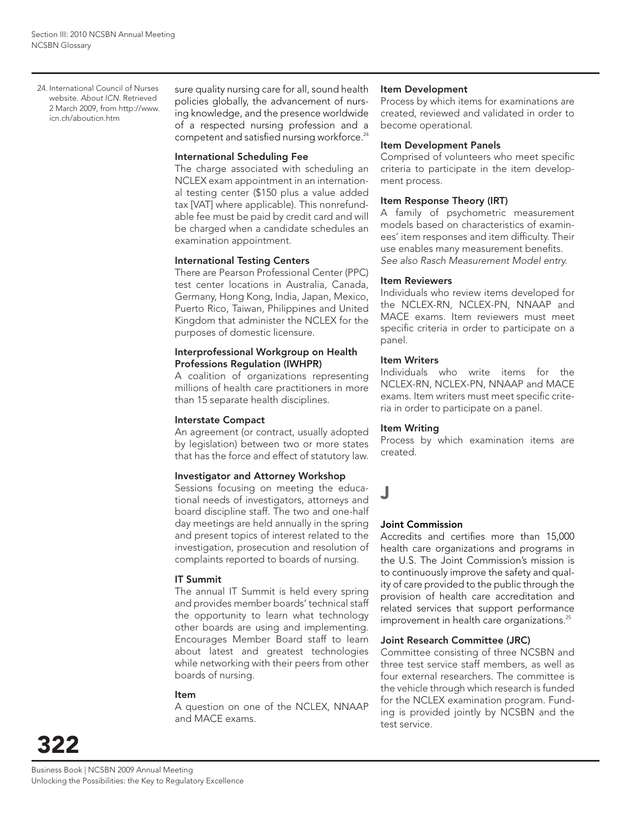24. International Council of Nurses website. *About ICN.* Retrieved 2 March 2009, from http://www. icn.ch/abouticn.htm

sure quality nursing care for all, sound health policies globally, the advancement of nursing knowledge, and the presence worldwide of a respected nursing profession and a competent and satisfied nursing workforce.<sup>24</sup>

### International Scheduling Fee

The charge associated with scheduling an NCLEX exam appointment in an international testing center (\$150 plus a value added tax [VAT] where applicable). This nonrefundable fee must be paid by credit card and will be charged when a candidate schedules an examination appointment.

### International Testing Centers

There are Pearson Professional Center (PPC) test center locations in Australia, Canada, Germany, Hong Kong, India, Japan, Mexico, Puerto Rico, Taiwan, Philippines and United Kingdom that administer the NCLEX for the purposes of domestic licensure.

### Interprofessional Workgroup on Health Professions Regulation (IWHPR)

A coalition of organizations representing millions of health care practitioners in more than 15 separate health disciplines.

### Interstate Compact

An agreement (or contract, usually adopted by legislation) between two or more states that has the force and effect of statutory law.

### Investigator and Attorney Workshop

Sessions focusing on meeting the educational needs of investigators, attorneys and board discipline staff. The two and one-half day meetings are held annually in the spring and present topics of interest related to the investigation, prosecution and resolution of complaints reported to boards of nursing.

### IT Summit

The annual IT Summit is held every spring and provides member boards' technical staff the opportunity to learn what technology other boards are using and implementing. Encourages Member Board staff to learn about latest and greatest technologies while networking with their peers from other boards of nursing.

### Item

A question on one of the NCLEX, NNAAP and MACE exams.

### Item Development

Process by which items for examinations are created, reviewed and validated in order to become operational.

### Item Development Panels

Comprised of volunteers who meet specific criteria to participate in the item development process.

### Item Response Theory (IRT)

A family of psychometric measurement models based on characteristics of examinees' item responses and item difficulty. Their use enables many measurement benefits. *See also Rasch Measurement Model entry.*

### Item Reviewers

Individuals who review items developed for the NCLEX-RN, NCLEX-PN, NNAAP and MACE exams. Item reviewers must meet specific criteria in order to participate on a panel.

### Item Writers

Individuals who write items for the NCLEX-RN, NCLEX-PN, NNAAP and MACE exams. Item writers must meet specific criteria in order to participate on a panel.

### Item Writing

Process by which examination items are created.

### J

### Joint Commission

Accredits and certifies more than 15,000 health care organizations and programs in the U.S. The Joint Commission's mission is to continuously improve the safety and quality of care provided to the public through the provision of health care accreditation and related services that support performance improvement in health care organizations.<sup>25</sup>

### Joint Research Committee (JRC)

Committee consisting of three NCSBN and three test service staff members, as well as four external researchers. The committee is the vehicle through which research is funded for the NCLEX examination program. Funding is provided jointly by NCSBN and the test service.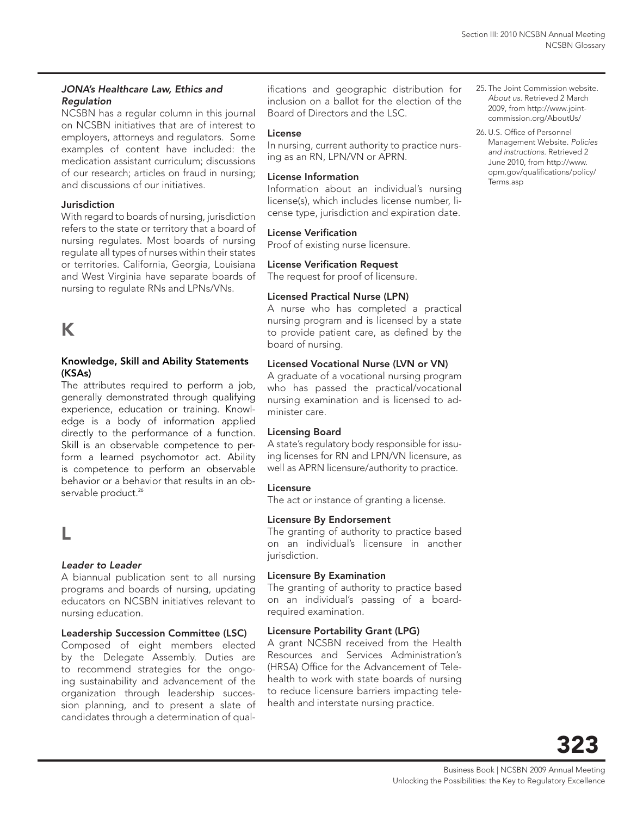### *JONA's Healthcare Law, Ethics and Regulation*

NCSBN has a regular column in this journal on NCSBN initiatives that are of interest to employers, attorneys and regulators. Some examples of content have included: the medication assistant curriculum; discussions of our research; articles on fraud in nursing; and discussions of our initiatives.

### Jurisdiction

With regard to boards of nursing, jurisdiction refers to the state or territory that a board of nursing regulates. Most boards of nursing regulate all types of nurses within their states or territories. California, Georgia, Louisiana and West Virginia have separate boards of nursing to regulate RNs and LPNs/VNs.

## K

### Knowledge, Skill and Ability Statements (KSAs)

The attributes required to perform a job, generally demonstrated through qualifying experience, education or training. Knowledge is a body of information applied directly to the performance of a function. Skill is an observable competence to perform a learned psychomotor act. Ability is competence to perform an observable behavior or a behavior that results in an observable product.<sup>26</sup>

### L

### *Leader to Leader*

A biannual publication sent to all nursing programs and boards of nursing, updating educators on NCSBN initiatives relevant to nursing education.

### Leadership Succession Committee (LSC)

Composed of eight members elected by the Delegate Assembly. Duties are to recommend strategies for the ongoing sustainability and advancement of the organization through leadership succession planning, and to present a slate of candidates through a determination of qual-

ifications and geographic distribution for inclusion on a ballot for the election of the Board of Directors and the LSC.

### License

In nursing, current authority to practice nursing as an RN, LPN/VN or APRN.

### License Information

Information about an individual's nursing license(s), which includes license number, license type, jurisdiction and expiration date.

### License Verification

Proof of existing nurse licensure.

### License Verification Request

The request for proof of licensure.

### Licensed Practical Nurse (LPN)

A nurse who has completed a practical nursing program and is licensed by a state to provide patient care, as defined by the board of nursing.

### Licensed Vocational Nurse (LVN or VN)

A graduate of a vocational nursing program who has passed the practical/vocational nursing examination and is licensed to administer care.

### Licensing Board

A state's regulatory body responsible for issuing licenses for RN and LPN/VN licensure, as well as APRN licensure/authority to practice.

### **Licensure**

The act or instance of granting a license.

### Licensure By Endorsement

The granting of authority to practice based on an individual's licensure in another jurisdiction.

### Licensure By Examination

The granting of authority to practice based on an individual's passing of a boardrequired examination.

### Licensure Portability Grant (LPG)

A grant NCSBN received from the Health Resources and Services Administration's (HRSA) Office for the Advancement of Telehealth to work with state boards of nursing to reduce licensure barriers impacting telehealth and interstate nursing practice.

26. U.S. Office of Personnel Management Website. *Policies and instructions*. Retrieved 2 June 2010, from http://www. opm.gov/qualifications/policy/ Terms.asp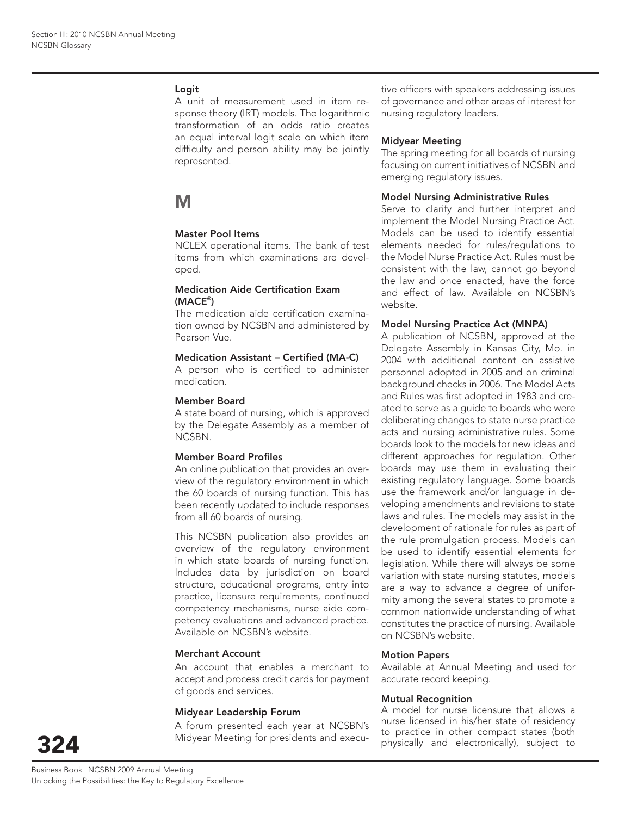### Logit

A unit of measurement used in item response theory (IRT) models. The logarithmic transformation of an odds ratio creates an equal interval logit scale on which item difficulty and person ability may be jointly represented.

### M

### Master Pool Items

NCLEX operational items. The bank of test items from which examinations are developed.

### Medication Aide Certification Exam (MACE® )

The medication aide certification examination owned by NCSBN and administered by Pearson Vue.

### Medication Assistant – Certified (MA-C)

A person who is certified to administer medication.

### Member Board

A state board of nursing, which is approved by the Delegate Assembly as a member of NCSBN.

### Member Board Profiles

An online publication that provides an overview of the regulatory environment in which the 60 boards of nursing function. This has been recently updated to include responses from all 60 boards of nursing.

This NCSBN publication also provides an overview of the regulatory environment in which state boards of nursing function. Includes data by jurisdiction on board structure, educational programs, entry into practice, licensure requirements, continued competency mechanisms, nurse aide competency evaluations and advanced practice. Available on NCSBN's website.

### Merchant Account

An account that enables a merchant to accept and process credit cards for payment of goods and services.

### Midyear Leadership Forum

A forum presented each year at NCSBN's Midyear Meeting for presidents and executive officers with speakers addressing issues of governance and other areas of interest for nursing regulatory leaders.

### Midyear Meeting

The spring meeting for all boards of nursing focusing on current initiatives of NCSBN and emerging regulatory issues.

### Model Nursing Administrative Rules

Serve to clarify and further interpret and implement the Model Nursing Practice Act. Models can be used to identify essential elements needed for rules/regulations to the Model Nurse Practice Act. Rules must be consistent with the law, cannot go beyond the law and once enacted, have the force and effect of law. Available on NCSBN's website.

### Model Nursing Practice Act (MNPA)

A publication of NCSBN, approved at the Delegate Assembly in Kansas City, Mo. in 2004 with additional content on assistive personnel adopted in 2005 and on criminal background checks in 2006. The Model Acts and Rules was first adopted in 1983 and created to serve as a guide to boards who were deliberating changes to state nurse practice acts and nursing administrative rules. Some boards look to the models for new ideas and different approaches for regulation. Other boards may use them in evaluating their existing regulatory language. Some boards use the framework and/or language in developing amendments and revisions to state laws and rules. The models may assist in the development of rationale for rules as part of the rule promulgation process. Models can be used to identify essential elements for legislation. While there will always be some variation with state nursing statutes, models are a way to advance a degree of uniformity among the several states to promote a common nationwide understanding of what constitutes the practice of nursing. Available on NCSBN's website.

### Motion Papers

Available at Annual Meeting and used for accurate record keeping.

### Mutual Recognition

A model for nurse licensure that allows a nurse licensed in his/her state of residency to practice in other compact states (both physically and electronically), subject to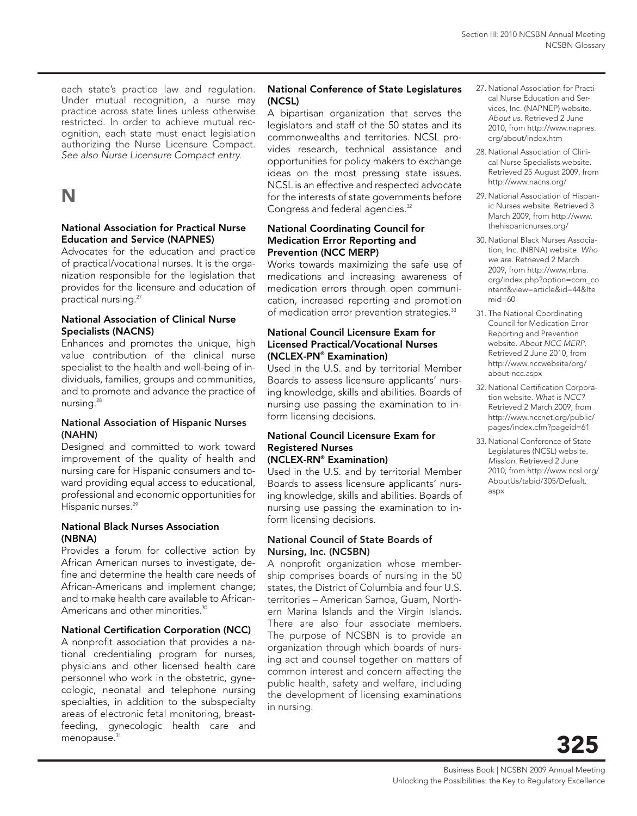each state's practice law and regulation. Under mutual recognition, a nurse may practice across state lines unless otherwise restricted. In order to achieve mutual recognition, each state must enact legislation authorizing the Nurse Licensure Compact. *See also Nurse Licensure Compact entry.*

### N

### National Association for Practical Nurse Education and Service (NAPNES)

Advocates for the education and practice of practical/vocational nurses. It is the organization responsible for the legislation that provides for the licensure and education of practical nursing.27

### National Association of Clinical Nurse Specialists (NACNS)

Enhances and promotes the unique, high value contribution of the clinical nurse specialist to the health and well-being of individuals, families, groups and communities, and to promote and advance the practice of nursing.28

### National Association of Hispanic Nurses (NAHN)

Designed and committed to work toward improvement of the quality of health and nursing care for Hispanic consumers and toward providing equal access to educational, professional and economic opportunities for Hispanic nurses.<sup>29</sup>

### National Black Nurses Association (NBNA)

Provides a forum for collective action by African American nurses to investigate, define and determine the health care needs of African-Americans and implement change; and to make health care available to African-Americans and other minorities.<sup>30</sup>

### National Certification Corporation (NCC)

A nonprofit association that provides a national credentialing program for nurses, physicians and other licensed health care personnel who work in the obstetric, gynecologic, neonatal and telephone nursing specialties, in addition to the subspecialty areas of electronic fetal monitoring, breastfeeding, gynecologic health care and menopause.<sup>31</sup>

### National Conference of State Legislatures (NCSL)

A bipartisan organization that serves the legislators and staff of the 50 states and its commonwealths and territories. NCSL provides research, technical assistance and opportunities for policy makers to exchange ideas on the most pressing state issues. NCSL is an effective and respected advocate for the interests of state governments before Congress and federal agencies.<sup>32</sup>

### National Coordinating Council for Medication Error Reporting and Prevention (NCC MERP)

Works towards maximizing the safe use of medications and increasing awareness of medication errors through open communication, increased reporting and promotion of medication error prevention strategies.<sup>33</sup>

### National Council Licensure Exam for Licensed Practical/Vocational Nurses (NCLEX-PN® Examination)

Used in the U.S. and by territorial Member Boards to assess licensure applicants' nursing knowledge, skills and abilities. Boards of nursing use passing the examination to inform licensing decisions.

### National Council Licensure Exam for Registered Nurses (NCLEX-RN® Examination)

Used in the U.S. and by territorial Member Boards to assess licensure applicants' nursing knowledge, skills and abilities. Boards of nursing use passing the examination to inform licensing decisions.

### National Council of State Boards of Nursing, Inc. (NCSBN)

A nonprofit organization whose membership comprises boards of nursing in the 50 states, the District of Columbia and four U.S. territories – American Samoa, Guam, Northern Marina Islands and the Virgin Islands. There are also four associate members. The purpose of NCSBN is to provide an organization through which boards of nursing act and counsel together on matters of common interest and concern affecting the public health, safety and welfare, including the development of licensing examinations in nursing.

- 27. National Association for Practical Nurse Education and Services, Inc. (NAPNEP) website. *About us*. Retrieved 2 June 2010, from http://www.napnes. org/about/index.htm
- 28. National Association of Clinical Nurse Specialists website. Retrieved 25 August 2009, from http://www.nacns.org/
- 29. National Association of Hispanic Nurses website. Retrieved 3 March 2009, from http://www. thehispanicnurses.org/
- 30. National Black Nurses Association, Inc. (NBNA) website. *Who we are.* Retrieved 2 March 2009, from http://www.nbna. org/index.php?option=com\_co ntent&view=article&id=44&Ite mid=60
- 31. The National Coordinating Council for Medication Error Reporting and Prevention website. *About NCC MERP*. Retrieved 2 June 2010, from http://www.nccwebsite/org/ about-ncc.aspx
- 32. National Certification Corporation website. *What is NCC?* Retrieved 2 March 2009, from http://www.nccnet.org/public/ pages/index.cfm?pageid=61
- 33. National Conference of State Legislatures (NCSL) website. *Mission*. Retrieved 2 June 2010, from http://www.ncsl.org/ AboutUs/tabid/305/Defualt. aspx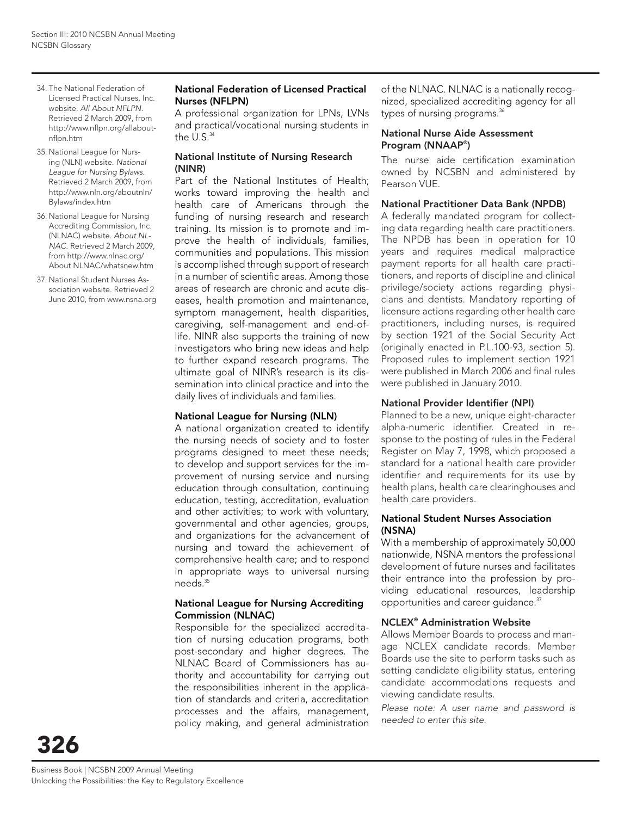- 34. The National Federation of Licensed Practical Nurses, Inc. website. *All About NFLPN*. Retrieved 2 March 2009, from http://www.nflpn.org/allaboutnflpn.htm
- 35. National League for Nursing (NLN) website. *National League for Nursing Bylaws.* Retrieved 2 March 2009, from http://www.nln.org/aboutnln/ Bylaws/index.htm
- 36. National League for Nursing Accrediting Commission, Inc. (NLNAC) website. *About NL-NAC*. Retrieved 2 March 2009, from http://www.nlnac.org/ About NLNAC/whatsnew.htm
- 37. National Student Nurses Association website. Retrieved 2 June 2010, from www.nsna.org

### National Federation of Licensed Practical Nurses (NFLPN)

A professional organization for LPNs, LVNs and practical/vocational nursing students in the U.S.<sup>34</sup>

### National Institute of Nursing Research (NINR)

Part of the National Institutes of Health; works toward improving the health and health care of Americans through the funding of nursing research and research training. Its mission is to promote and improve the health of individuals, families, communities and populations. This mission is accomplished through support of research in a number of scientific areas. Among those areas of research are chronic and acute diseases, health promotion and maintenance, symptom management, health disparities, caregiving, self-management and end-oflife. NINR also supports the training of new investigators who bring new ideas and help to further expand research programs. The ultimate goal of NINR's research is its dissemination into clinical practice and into the daily lives of individuals and families.

### National League for Nursing (NLN)

A national organization created to identify the nursing needs of society and to foster programs designed to meet these needs; to develop and support services for the improvement of nursing service and nursing education through consultation, continuing education, testing, accreditation, evaluation and other activities; to work with voluntary, governmental and other agencies, groups, and organizations for the advancement of nursing and toward the achievement of comprehensive health care; and to respond in appropriate ways to universal nursing needs.35

### National League for Nursing Accrediting Commission (NLNAC)

Responsible for the specialized accreditation of nursing education programs, both post-secondary and higher degrees. The NLNAC Board of Commissioners has authority and accountability for carrying out the responsibilities inherent in the application of standards and criteria, accreditation processes and the affairs, management, policy making, and general administration

of the NLNAC. NLNAC is a nationally recognized, specialized accrediting agency for all types of nursing programs.<sup>36</sup>

### National Nurse Aide Assessment Program (NNAAP® )

The nurse aide certification examination owned by NCSBN and administered by Pearson VUE.

### National Practitioner Data Bank (NPDB)

A federally mandated program for collecting data regarding health care practitioners. The NPDB has been in operation for 10 years and requires medical malpractice payment reports for all health care practitioners, and reports of discipline and clinical privilege/society actions regarding physicians and dentists. Mandatory reporting of licensure actions regarding other health care practitioners, including nurses, is required by section 1921 of the Social Security Act (originally enacted in P.L.100-93, section 5). Proposed rules to implement section 1921 were published in March 2006 and final rules were published in January 2010.

### National Provider Identifier (NPI)

Planned to be a new, unique eight-character alpha-numeric identifier. Created in response to the posting of rules in the Federal Register on May 7, 1998, which proposed a standard for a national health care provider identifier and requirements for its use by health plans, health care clearinghouses and health care providers.

### National Student Nurses Association (NSNA)

With a membership of approximately 50,000 nationwide, NSNA mentors the professional development of future nurses and facilitates their entrance into the profession by providing educational resources, leadership opportunities and career guidance.<sup>37</sup>

### NCLEX® Administration Website

Allows Member Boards to process and manage NCLEX candidate records. Member Boards use the site to perform tasks such as setting candidate eligibility status, entering candidate accommodations requests and viewing candidate results.

*Please note: A user name and password is needed to enter this site.*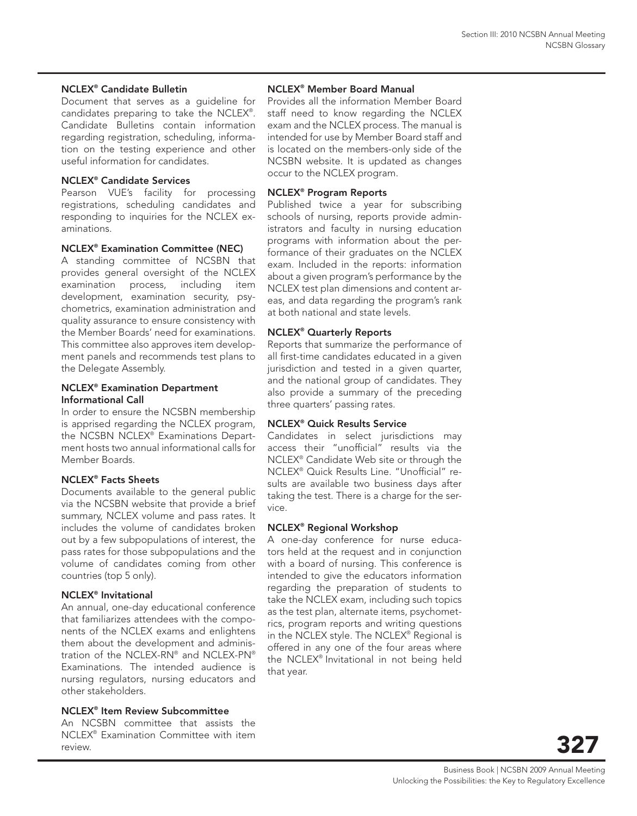### NCLEX® Candidate Bulletin

Document that serves as a guideline for candidates preparing to take the NCLEX® . Candidate Bulletins contain information regarding registration, scheduling, information on the testing experience and other useful information for candidates.

### NCLEX® Candidate Services

Pearson VUE's facility for processing registrations, scheduling candidates and responding to inquiries for the NCLEX examinations.

### NCLEX® Examination Committee (NEC)

A standing committee of NCSBN that provides general oversight of the NCLEX examination process, including item development, examination security, psychometrics, examination administration and quality assurance to ensure consistency with the Member Boards' need for examinations. This committee also approves item development panels and recommends test plans to the Delegate Assembly.

### NCLEX® Examination Department Informational Call

In order to ensure the NCSBN membership is apprised regarding the NCLEX program, the NCSBN NCLEX® Examinations Department hosts two annual informational calls for Member Boards.

### NCLEX® Facts Sheets

Documents available to the general public via the NCSBN website that provide a brief summary, NCLEX volume and pass rates. It includes the volume of candidates broken out by a few subpopulations of interest, the pass rates for those subpopulations and the volume of candidates coming from other countries (top 5 only).

### NCLEX® Invitational

An annual, one-day educational conference that familiarizes attendees with the components of the NCLEX exams and enlightens them about the development and administration of the NCLEX-RN® and NCLEX-PN® Examinations. The intended audience is nursing regulators, nursing educators and other stakeholders.

### NCLEX® Item Review Subcommittee

An NCSBN committee that assists the NCLEX® Examination Committee with item review.

### NCLEX® Member Board Manual

Provides all the information Member Board staff need to know regarding the NCLEX exam and the NCLEX process. The manual is intended for use by Member Board staff and is located on the members-only side of the NCSBN website. It is updated as changes occur to the NCLEX program.

### NCLEX® Program Reports

Published twice a year for subscribing schools of nursing, reports provide administrators and faculty in nursing education programs with information about the performance of their graduates on the NCLEX exam. Included in the reports: information about a given program's performance by the NCLEX test plan dimensions and content areas, and data regarding the program's rank at both national and state levels.

### NCLEX® Quarterly Reports

Reports that summarize the performance of all first-time candidates educated in a given jurisdiction and tested in a given quarter, and the national group of candidates. They also provide a summary of the preceding three quarters' passing rates.

### NCLEX® Quick Results Service

Candidates in select jurisdictions may access their "unofficial" results via the NCLEX® Candidate Web site or through the NCLEX® Quick Results Line. "Unofficial" results are available two business days after taking the test. There is a charge for the service.

### NCLEX® Regional Workshop

A one-day conference for nurse educators held at the request and in conjunction with a board of nursing. This conference is intended to give the educators information regarding the preparation of students to take the NCLEX exam, including such topics as the test plan, alternate items, psychometrics, program reports and writing questions in the NCLEX style. The NCLEX® Regional is offered in any one of the four areas where the NCLEX® Invitational in not being held that year.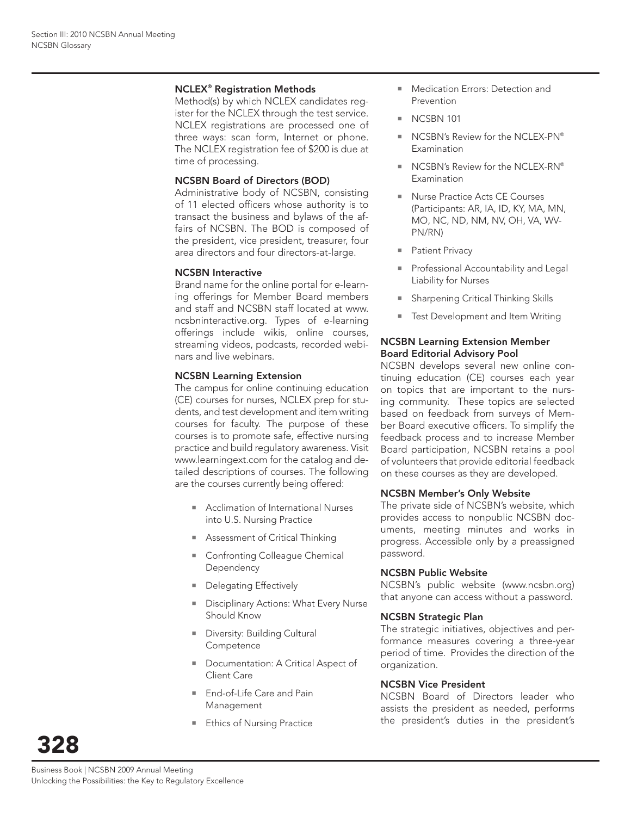### NCLEX® Registration Methods

Method(s) by which NCLEX candidates register for the NCLEX through the test service. NCLEX registrations are processed one of three ways: scan form, Internet or phone. The NCLEX registration fee of \$200 is due at time of processing.

### NCSBN Board of Directors (BOD)

Administrative body of NCSBN, consisting of 11 elected officers whose authority is to transact the business and bylaws of the affairs of NCSBN. The BOD is composed of the president, vice president, treasurer, four area directors and four directors-at-large.

### NCSBN Interactive

Brand name for the online portal for e-learning offerings for Member Board members and staff and NCSBN staff located at www. ncsbninteractive.org. Types of e-learning offerings include wikis, online courses, streaming videos, podcasts, recorded webinars and live webinars.

### NCSBN Learning Extension

The campus for online continuing education (CE) courses for nurses, NCLEX prep for students, and test development and item writing courses for faculty. The purpose of these courses is to promote safe, effective nursing practice and build regulatory awareness. Visit www.learningext.com for the catalog and detailed descriptions of courses. The following are the courses currently being offered:

- Acclimation of International Nurses into U.S. Nursing Practice
- **Assessment of Critical Thinking**
- **Confronting Colleague Chemical Dependency**
- **Delegating Effectively**
- Disciplinary Actions: What Every Nurse Should Know
- **Diversity: Building Cultural Competence**
- Documentation: A Critical Aspect of Client Care
- End-of-Life Care and Pain Management
- Ethics of Nursing Practice
- **Medication Errors: Detection and** Prevention
- NCSBN 101
- NCSBN's Review for the NCLEX-PN® Examination
- NCSBN's Review for the NCLEX-RN® Examination
- Nurse Practice Acts CE Courses (Participants: AR, IA, ID, KY, MA, MN, MO, NC, ND, NM, NV, OH, VA, WV-PN/RN)
- Patient Privacy
- **Professional Accountability and Legal** Liability for Nurses
- **Sharpening Critical Thinking Skills**
- **Test Development and Item Writing**

### NCSBN Learning Extension Member Board Editorial Advisory Pool

NCSBN develops several new online continuing education (CE) courses each year on topics that are important to the nursing community. These topics are selected based on feedback from surveys of Member Board executive officers. To simplify the feedback process and to increase Member Board participation, NCSBN retains a pool of volunteers that provide editorial feedback on these courses as they are developed.

### NCSBN Member's Only Website

The private side of NCSBN's website, which provides access to nonpublic NCSBN documents, meeting minutes and works in progress. Accessible only by a preassigned password.

### NCSBN Public Website

NCSBN's public website (www.ncsbn.org) that anyone can access without a password.

### NCSBN Strategic Plan

The strategic initiatives, objectives and performance measures covering a three-year period of time. Provides the direction of the organization.

### NCSBN Vice President

NCSBN Board of Directors leader who assists the president as needed, performs the president's duties in the president's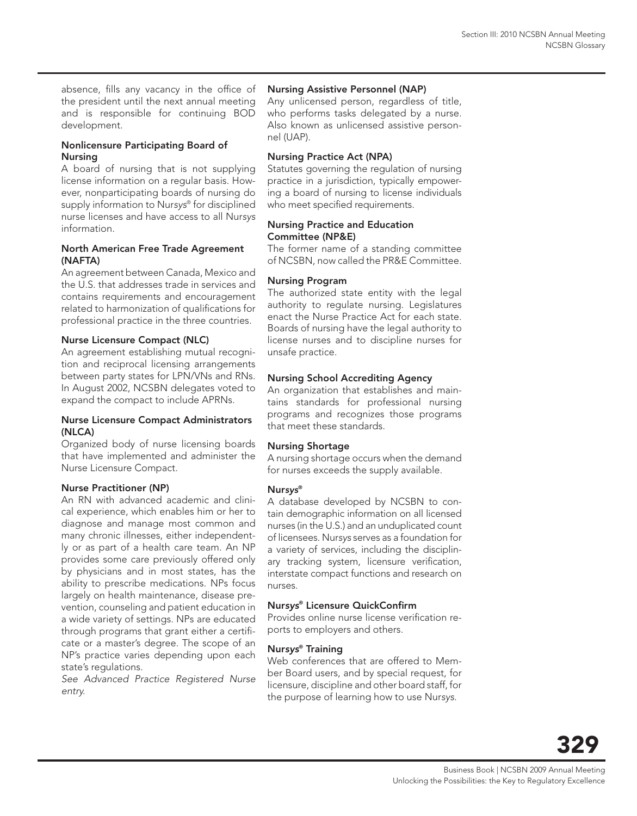absence, fills any vacancy in the office of the president until the next annual meeting and is responsible for continuing BOD development.

### Nonlicensure Participating Board of Nursing

A board of nursing that is not supplying license information on a regular basis. However, nonparticipating boards of nursing do supply information to Nur*sys*® for disciplined nurse licenses and have access to all Nur*sys* information.

### North American Free Trade Agreement (NAFTA)

An agreement between Canada, Mexico and the U.S. that addresses trade in services and contains requirements and encouragement related to harmonization of qualifications for professional practice in the three countries.

### Nurse Licensure Compact (NLC)

An agreement establishing mutual recognition and reciprocal licensing arrangements between party states for LPN/VNs and RNs. In August 2002, NCSBN delegates voted to expand the compact to include APRNs.

### Nurse Licensure Compact Administrators (NLCA)

Organized body of nurse licensing boards that have implemented and administer the Nurse Licensure Compact.

### Nurse Practitioner (NP)

An RN with advanced academic and clinical experience, which enables him or her to diagnose and manage most common and many chronic illnesses, either independently or as part of a health care team. An NP provides some care previously offered only by physicians and in most states, has the ability to prescribe medications. NPs focus largely on health maintenance, disease prevention, counseling and patient education in a wide variety of settings. NPs are educated through programs that grant either a certificate or a master's degree. The scope of an NP's practice varies depending upon each state's regulations.

*See Advanced Practice Registered Nurse entry.*

### Nursing Assistive Personnel (NAP)

Any unlicensed person, regardless of title, who performs tasks delegated by a nurse. Also known as unlicensed assistive personnel (UAP).

### Nursing Practice Act (NPA)

Statutes governing the regulation of nursing practice in a jurisdiction, typically empowering a board of nursing to license individuals who meet specified requirements.

### Nursing Practice and Education Committee (NP&E)

The former name of a standing committee of NCSBN, now called the PR&E Committee.

### Nursing Program

The authorized state entity with the legal authority to regulate nursing. Legislatures enact the Nurse Practice Act for each state. Boards of nursing have the legal authority to license nurses and to discipline nurses for unsafe practice.

### Nursing School Accrediting Agency

An organization that establishes and maintains standards for professional nursing programs and recognizes those programs that meet these standards.

### Nursing Shortage

A nursing shortage occurs when the demand for nurses exceeds the supply available.

### Nur*sys*®

A database developed by NCSBN to contain demographic information on all licensed nurses (in the U.S.) and an unduplicated count of licensees. Nur*sys* serves as a foundation for a variety of services, including the disciplinary tracking system, licensure verification, interstate compact functions and research on nurses.

### Nur*sys*® Licensure QuickConfirm

Provides online nurse license verification reports to employers and others.

### Nur*sys*® Training

Web conferences that are offered to Member Board users, and by special request, for licensure, discipline and other board staff, for the purpose of learning how to use Nur*sys*.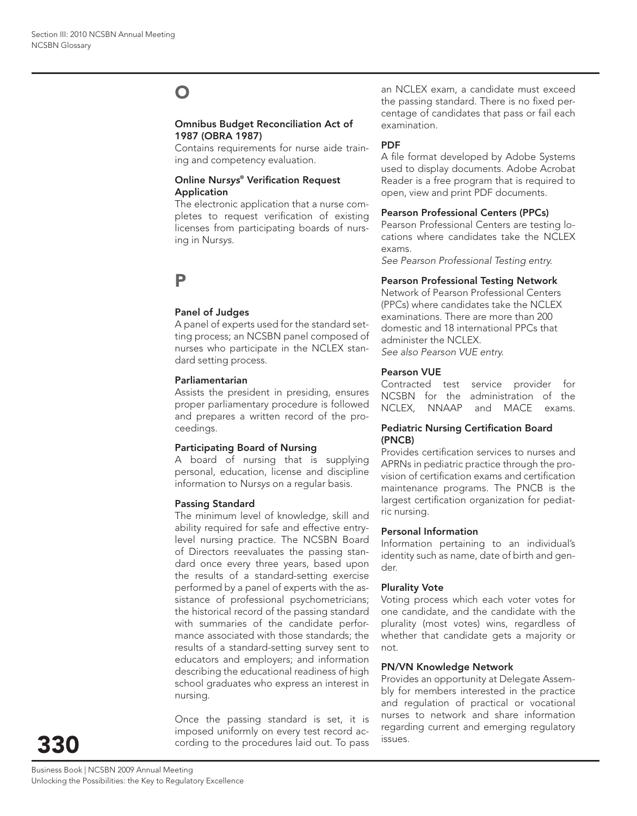## O

### Omnibus Budget Reconciliation Act of 1987 (OBRA 1987)

Contains requirements for nurse aide training and competency evaluation.

### Online Nur*sys*® Verification Request Application

The electronic application that a nurse completes to request verification of existing licenses from participating boards of nursing in Nur*sys*.

### P

### Panel of Judges

A panel of experts used for the standard setting process; an NCSBN panel composed of nurses who participate in the NCLEX standard setting process.

### Parliamentarian

Assists the president in presiding, ensures proper parliamentary procedure is followed and prepares a written record of the proceedings.

### Participating Board of Nursing

A board of nursing that is supplying personal, education, license and discipline information to Nur*sys* on a regular basis.

### Passing Standard

The minimum level of knowledge, skill and ability required for safe and effective entrylevel nursing practice. The NCSBN Board of Directors reevaluates the passing standard once every three years, based upon the results of a standard-setting exercise performed by a panel of experts with the assistance of professional psychometricians; the historical record of the passing standard with summaries of the candidate performance associated with those standards; the results of a standard-setting survey sent to educators and employers; and information describing the educational readiness of high school graduates who express an interest in nursing.

Once the passing standard is set, it is imposed uniformly on every test record according to the procedures laid out. To pass

an NCLEX exam, a candidate must exceed the passing standard. There is no fixed percentage of candidates that pass or fail each examination.

### PDF

A file format developed by Adobe Systems used to display documents. Adobe Acrobat Reader is a free program that is required to open, view and print PDF documents.

### Pearson Professional Centers (PPCs)

Pearson Professional Centers are testing locations where candidates take the NCLEX exams.

*See Pearson Professional Testing entry.*

### Pearson Professional Testing Network

Network of Pearson Professional Centers (PPCs) where candidates take the NCLEX examinations. There are more than 200 domestic and 18 international PPCs that administer the NCLEX. *See also Pearson VUE entry.*

### Pearson VUE

Contracted test service provider for NCSBN for the administration of the NCLEX, NNAAP and MACE exams.

### Pediatric Nursing Certification Board (PNCB)

Provides certification services to nurses and APRNs in pediatric practice through the provision of certification exams and certification maintenance programs. The PNCB is the largest certification organization for pediatric nursing.

### Personal Information

Information pertaining to an individual's identity such as name, date of birth and gender.

### Plurality Vote

Voting process which each voter votes for one candidate, and the candidate with the plurality (most votes) wins, regardless of whether that candidate gets a majority or not.

### PN/VN Knowledge Network

Provides an opportunity at Delegate Assembly for members interested in the practice and regulation of practical or vocational nurses to network and share information regarding current and emerging regulatory issues.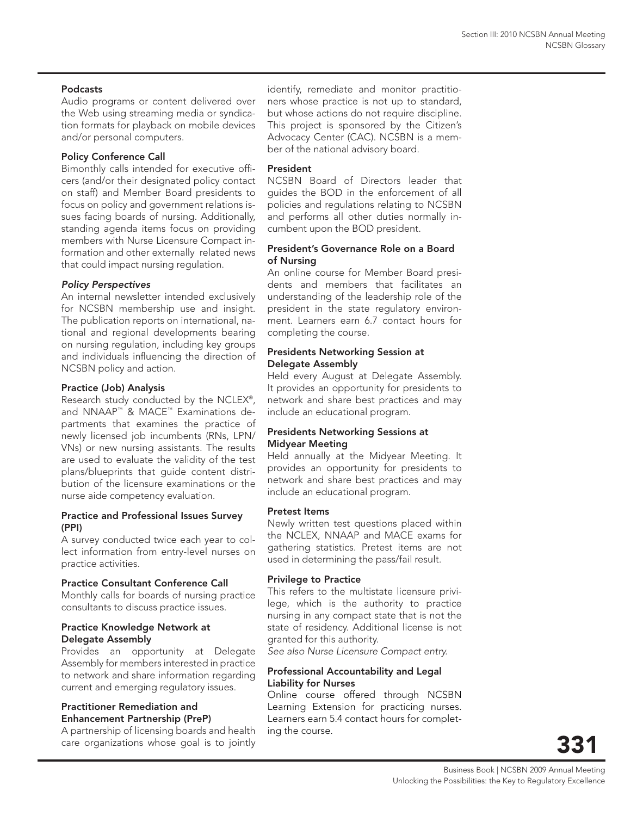### Podcasts

Audio programs or content delivered over the Web using streaming media or syndication formats for playback on mobile devices and/or personal computers.

### Policy Conference Call

Bimonthly calls intended for executive officers (and/or their designated policy contact on staff) and Member Board presidents to focus on policy and government relations issues facing boards of nursing. Additionally, standing agenda items focus on providing members with Nurse Licensure Compact information and other externally related news that could impact nursing regulation.

### *Policy Perspectives*

An internal newsletter intended exclusively for NCSBN membership use and insight. The publication reports on international, national and regional developments bearing on nursing regulation, including key groups and individuals influencing the direction of NCSBN policy and action.

### Practice (Job) Analysis

Research study conducted by the NCLEX® , and NNAAP™ & MACE™ Examinations departments that examines the practice of newly licensed job incumbents (RNs, LPN/ VNs) or new nursing assistants. The results are used to evaluate the validity of the test plans/blueprints that guide content distribution of the licensure examinations or the nurse aide competency evaluation.

### Practice and Professional Issues Survey (PPI)

A survey conducted twice each year to collect information from entry-level nurses on practice activities.

### Practice Consultant Conference Call

Monthly calls for boards of nursing practice consultants to discuss practice issues.

### Practice Knowledge Network at Delegate Assembly

Provides an opportunity at Delegate Assembly for members interested in practice to network and share information regarding current and emerging regulatory issues.

### Practitioner Remediation and Enhancement Partnership (PreP)

A partnership of licensing boards and health care organizations whose goal is to jointly

identify, remediate and monitor practitioners whose practice is not up to standard, but whose actions do not require discipline. This project is sponsored by the Citizen's Advocacy Center (CAC). NCSBN is a member of the national advisory board.

### President

NCSBN Board of Directors leader that guides the BOD in the enforcement of all policies and regulations relating to NCSBN and performs all other duties normally incumbent upon the BOD president.

### President's Governance Role on a Board of Nursing

An online course for Member Board presidents and members that facilitates an understanding of the leadership role of the president in the state regulatory environment. Learners earn 6.7 contact hours for completing the course.

### Presidents Networking Session at Delegate Assembly

Held every August at Delegate Assembly. It provides an opportunity for presidents to network and share best practices and may include an educational program.

### Presidents Networking Sessions at Midyear Meeting

Held annually at the Midyear Meeting. It provides an opportunity for presidents to network and share best practices and may include an educational program.

### Pretest Items

Newly written test questions placed within the NCLEX, NNAAP and MACE exams for gathering statistics. Pretest items are not used in determining the pass/fail result.

### Privilege to Practice

This refers to the multistate licensure privilege, which is the authority to practice nursing in any compact state that is not the state of residency. Additional license is not granted for this authority.

*See also Nurse Licensure Compact entry.*

### Professional Accountability and Legal Liability for Nurses

Online course offered through NCSBN Learning Extension for practicing nurses. Learners earn 5.4 contact hours for completing the course.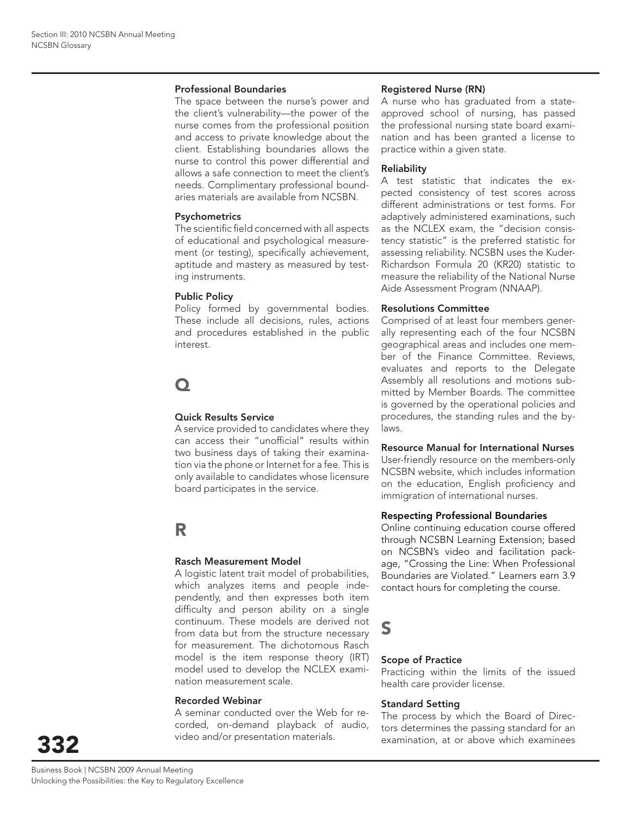### Professional Boundaries

The space between the nurse's power and the client's vulnerability—the power of the nurse comes from the professional position and access to private knowledge about the client. Establishing boundaries allows the nurse to control this power differential and allows a safe connection to meet the client's needs. Complimentary professional boundaries materials are available from NCSBN.

### Psychometrics

The scientific field concerned with all aspects of educational and psychological measurement (or testing), specifically achievement, aptitude and mastery as measured by testing instruments.

### Public Policy

Policy formed by governmental bodies. These include all decisions, rules, actions and procedures established in the public interest.

### $\Omega$

### Quick Results Service

A service provided to candidates where they can access their "unofficial" results within two business days of taking their examination via the phone or Internet for a fee. This is only available to candidates whose licensure board participates in the service.

### R

### Rasch Measurement Model

A logistic latent trait model of probabilities, which analyzes items and people independently, and then expresses both item difficulty and person ability on a single continuum. These models are derived not from data but from the structure necessary for measurement. The dichotomous Rasch model is the item response theory (IRT) model used to develop the NCLEX examination measurement scale.

### Recorded Webinar

A seminar conducted over the Web for recorded, on-demand playback of audio, video and/or presentation materials.

### Registered Nurse (RN)

A nurse who has graduated from a stateapproved school of nursing, has passed the professional nursing state board examination and has been granted a license to practice within a given state.

#### Reliability

A test statistic that indicates the expected consistency of test scores across different administrations or test forms. For adaptively administered examinations, such as the NCLEX exam, the "decision consistency statistic" is the preferred statistic for assessing reliability. NCSBN uses the Kuder-Richardson Formula 20 (KR20) statistic to measure the reliability of the National Nurse Aide Assessment Program (NNAAP).

### Resolutions Committee

Comprised of at least four members generally representing each of the four NCSBN geographical areas and includes one member of the Finance Committee. Reviews, evaluates and reports to the Delegate Assembly all resolutions and motions submitted by Member Boards. The committee is governed by the operational policies and procedures, the standing rules and the bylaws.

### Resource Manual for International Nurses

User-friendly resource on the members-only NCSBN website, which includes information on the education, English proficiency and immigration of international nurses.

### Respecting Professional Boundaries

Online continuing education course offered through NCSBN Learning Extension; based on NCSBN's video and facilitation package, "Crossing the Line: When Professional Boundaries are Violated." Learners earn 3.9 contact hours for completing the course.

### S

### Scope of Practice

Practicing within the limits of the issued health care provider license.

### Standard Setting

The process by which the Board of Directors determines the passing standard for an examination, at or above which examinees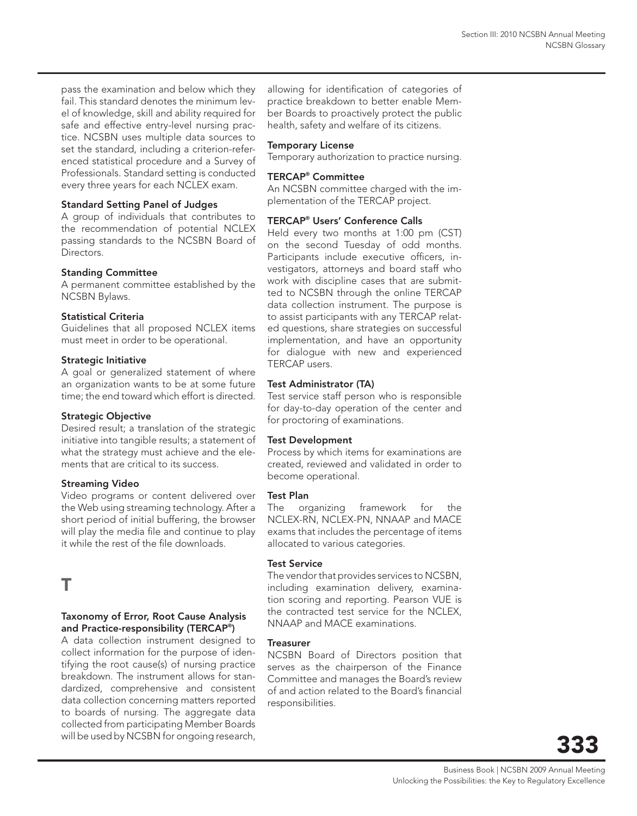pass the examination and below which they fail. This standard denotes the minimum level of knowledge, skill and ability required for safe and effective entry-level nursing practice. NCSBN uses multiple data sources to set the standard, including a criterion-referenced statistical procedure and a Survey of Professionals. Standard setting is conducted every three years for each NCLEX exam.

### Standard Setting Panel of Judges

A group of individuals that contributes to the recommendation of potential NCLEX passing standards to the NCSBN Board of Directors.

### Standing Committee

A permanent committee established by the NCSBN Bylaws.

### Statistical Criteria

Guidelines that all proposed NCLEX items must meet in order to be operational.

### Strategic Initiative

A goal or generalized statement of where an organization wants to be at some future time; the end toward which effort is directed.

### Strategic Objective

Desired result; a translation of the strategic initiative into tangible results; a statement of what the strategy must achieve and the elements that are critical to its success.

### Streaming Video

Video programs or content delivered over the Web using streaming technology. After a short period of initial buffering, the browser will play the media file and continue to play it while the rest of the file downloads.

## T

### Taxonomy of Error, Root Cause Analysis and Practice-responsibility (TERCAP® )

A data collection instrument designed to collect information for the purpose of identifying the root cause(s) of nursing practice breakdown. The instrument allows for standardized, comprehensive and consistent data collection concerning matters reported to boards of nursing. The aggregate data collected from participating Member Boards will be used by NCSBN for ongoing research, allowing for identification of categories of practice breakdown to better enable Member Boards to proactively protect the public health, safety and welfare of its citizens.

### Temporary License

Temporary authorization to practice nursing.

### TERCAP® Committee

An NCSBN committee charged with the implementation of the TERCAP project.

### TERCAP® Users' Conference Calls

Held every two months at 1:00 pm (CST) on the second Tuesday of odd months. Participants include executive officers, investigators, attorneys and board staff who work with discipline cases that are submitted to NCSBN through the online TERCAP data collection instrument. The purpose is to assist participants with any TERCAP related questions, share strategies on successful implementation, and have an opportunity for dialogue with new and experienced TERCAP users.

### Test Administrator (TA)

Test service staff person who is responsible for day-to-day operation of the center and for proctoring of examinations.

### Test Development

Process by which items for examinations are created, reviewed and validated in order to become operational.

### Test Plan

The organizing framework for the NCLEX-RN, NCLEX-PN, NNAAP and MACE exams that includes the percentage of items allocated to various categories.

### Test Service

The vendor that provides services to NCSBN, including examination delivery, examination scoring and reporting. Pearson VUE is the contracted test service for the NCLEX, NNAAP and MACE examinations.

### **Treasurer**

NCSBN Board of Directors position that serves as the chairperson of the Finance Committee and manages the Board's review of and action related to the Board's financial responsibilities.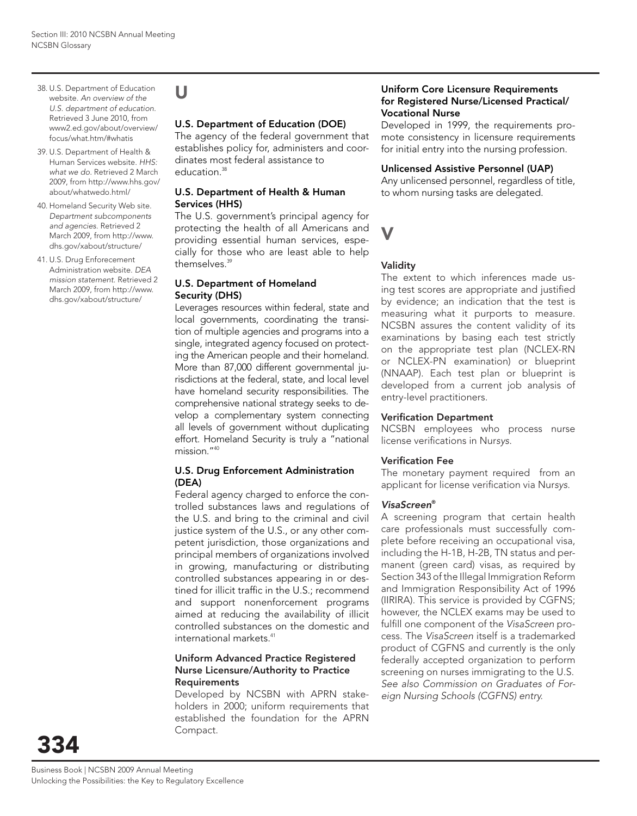- 38. U.S. Department of Education website. *An overview of the U.S. department of education.* Retrieved 3 June 2010, from www2.ed.gov/about/overview/ focus/what.htm/#whatis
- 39. U.S. Department of Health & Human Services website. *HHS: what we do.* Retrieved 2 March 2009, from http://www.hhs.gov/ about/whatwedo.html/
- 40. Homeland Security Web site. *Department subcomponents and agencies.* Retrieved 2 March 2009, from http://www. dhs.gov/xabout/structure/
- 41. U.S. Drug Enforecement Administration website. *DEA mission statement.* Retrieved 2 March 2009, from http://www. dhs.gov/xabout/structure/

# U

### U.S. Department of Education (DOE)

The agency of the federal government that establishes policy for, administers and coordinates most federal assistance to education.<sup>38</sup>

### U.S. Department of Health & Human Services (HHS)

The U.S. government's principal agency for protecting the health of all Americans and providing essential human services, especially for those who are least able to help themselves<sup>39</sup>

### U.S. Department of Homeland Security (DHS)

Leverages resources within federal, state and local governments, coordinating the transition of multiple agencies and programs into a single, integrated agency focused on protecting the American people and their homeland. More than 87,000 different governmental jurisdictions at the federal, state, and local level have homeland security responsibilities. The comprehensive national strategy seeks to develop a complementary system connecting all levels of government without duplicating effort. Homeland Security is truly a "national mission."40

### U.S. Drug Enforcement Administration (DEA)

Federal agency charged to enforce the controlled substances laws and regulations of the U.S. and bring to the criminal and civil justice system of the U.S., or any other competent jurisdiction, those organizations and principal members of organizations involved in growing, manufacturing or distributing controlled substances appearing in or destined for illicit traffic in the U.S.; recommend and support nonenforcement programs aimed at reducing the availability of illicit controlled substances on the domestic and international markets.<sup>41</sup>

### Uniform Advanced Practice Registered Nurse Licensure/Authority to Practice Requirements

Developed by NCSBN with APRN stakeholders in 2000; uniform requirements that established the foundation for the APRN Compact.

### Uniform Core Licensure Requirements for Registered Nurse/Licensed Practical/ Vocational Nurse

Developed in 1999, the requirements promote consistency in licensure requirements for initial entry into the nursing profession.

### Unlicensed Assistive Personnel (UAP)

Any unlicensed personnel, regardless of title, to whom nursing tasks are delegated.

V

### Validity

The extent to which inferences made using test scores are appropriate and justified by evidence; an indication that the test is measuring what it purports to measure. NCSBN assures the content validity of its examinations by basing each test strictly on the appropriate test plan (NCLEX-RN or NCLEX-PN examination) or blueprint (NNAAP). Each test plan or blueprint is developed from a current job analysis of entry-level practitioners.

### Verification Department

NCSBN employees who process nurse license verifications in Nur*sys*.

### Verification Fee

The monetary payment required from an applicant for license verification via Nur*sys*.

### *VisaScreen*®

A screening program that certain health care professionals must successfully complete before receiving an occupational visa, including the H-1B, H-2B, TN status and permanent (green card) visas, as required by Section 343 of the Illegal Immigration Reform and Immigration Responsibility Act of 1996 (IIRIRA). This service is provided by CGFNS; however, the NCLEX exams may be used to fulfill one component of the *VisaScreen* process. The *VisaScreen* itself is a trademarked product of CGFNS and currently is the only federally accepted organization to perform screening on nurses immigrating to the U.S. *See also Commission on Graduates of Foreign Nursing Schools (CGFNS) entry.*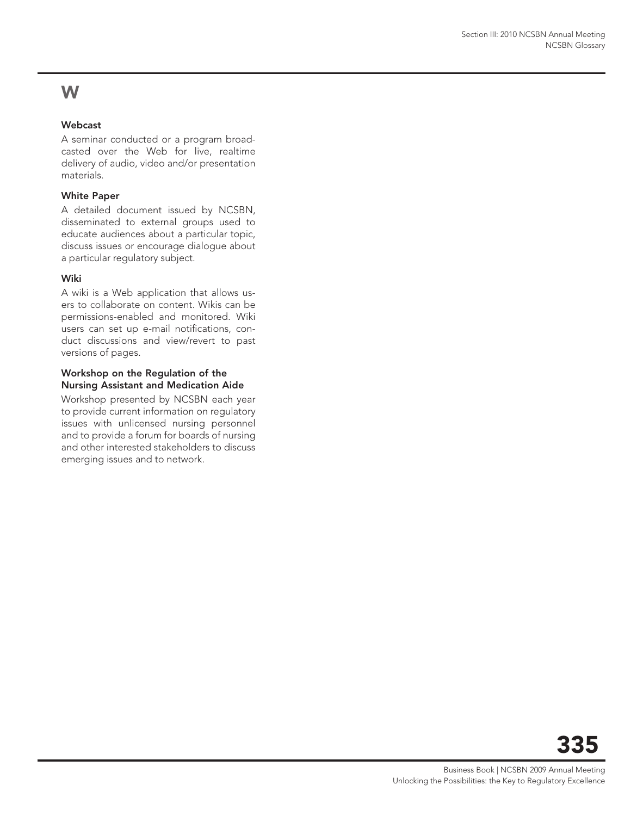### W

### Webcast

A seminar conducted or a program broadcasted over the Web for live, realtime delivery of audio, video and/or presentation materials.

### White Paper

A detailed document issued by NCSBN, disseminated to external groups used to educate audiences about a particular topic, discuss issues or encourage dialogue about a particular regulatory subject.

### Wiki

A wiki is a Web application that allows users to collaborate on content. Wikis can be permissions-enabled and monitored. Wiki users can set up e-mail notifications, conduct discussions and view/revert to past versions of pages.

### Workshop on the Regulation of the Nursing Assistant and Medication Aide

Workshop presented by NCSBN each year to provide current information on regulatory issues with unlicensed nursing personnel and to provide a forum for boards of nursing and other interested stakeholders to discuss emerging issues and to network.